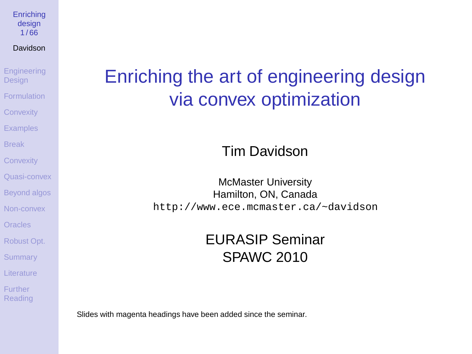**[Enriching](#page-65-0)** design 1 / 66

Davidson

**[Engineering](#page-1-0) Design** [Formulation](#page-3-0) **[Convexity](#page-15-0) [Examples](#page-18-0)** [Break](#page-29-0) **[Convexity](#page-31-0)** [Quasi-convex](#page-38-0) [Beyond algos](#page-40-0) [Non-convex](#page-45-0) [Oracles](#page-57-0) [Robust Opt.](#page-58-0) **[Summary](#page-60-0)** [Literature](#page-61-0) Further

<span id="page-0-0"></span>[Reading](#page-65-0)

## Enriching the art of engineering design via convex optimization

### Tim Davidson

McMaster University Hamilton, ON, Canada <http://www.ece.mcmaster.ca/~davidson>

### EURASIP Seminar SPAWC 2010

Slides with magenta headings have been added since the seminar.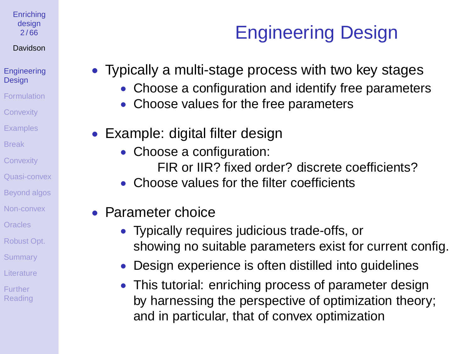#### **[Enriching](#page-0-0)** design 2 / 66

### Davidson

#### **[Engineering](#page-1-0) Design**

- [Formulation](#page-3-0)
- **[Convexity](#page-15-0)**
- **[Examples](#page-18-0)**
- [Break](#page-29-0)
- **[Convexity](#page-31-0)**
- [Quasi-convex](#page-38-0)
- [Beyond algos](#page-40-0)
- [Non-convex](#page-45-0)
- **[Oracles](#page-57-0)**
- [Robust Opt.](#page-58-0)
- **[Summary](#page-60-0)**
- [Literature](#page-61-0)
- <span id="page-1-0"></span>Further [Reading](#page-65-0)

### • Typically a multi-stage process with two key stages

• Choose a configuration and identify free parameters

Engineering Design

- Choose values for the free parameters
- Example: digital filter design
	- Choose a configuration: FIR or IIR? fixed order? discrete coefficients?
	- Choose values for the filter coefficients
- Parameter choice
	- Typically requires judicious trade-offs, or showing no suitable parameters exist for current config.
	- Design experience is often distilled into guidelines
	- This tutorial: enriching process of parameter design by harnessing the perspective of optimization theory; and in particular, that of convex optimization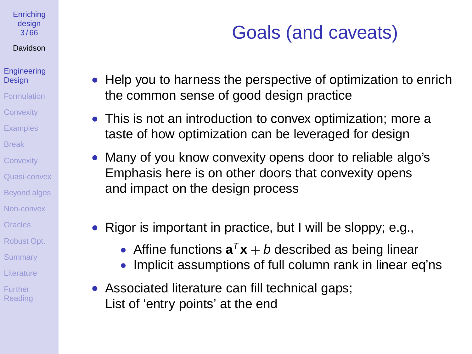#### **[Enriching](#page-0-0)** design 3 / 66

### Davidson

#### **[Engineering](#page-1-0) Design**

- [Formulation](#page-3-0)
- **[Convexity](#page-15-0)**
- **[Examples](#page-18-0)**
- [Break](#page-29-0)
- **[Convexity](#page-31-0)**
- [Quasi-convex](#page-38-0)
- [Beyond algos](#page-40-0)
- [Non-convex](#page-45-0)
- [Oracles](#page-57-0)
- [Robust Opt.](#page-58-0)
- **[Summary](#page-60-0)**
- [Literature](#page-61-0)
- Further [Reading](#page-65-0)

# Goals (and caveats)

- Help you to harness the perspective of optimization to enrich the common sense of good design practice
- This is not an introduction to convex optimization; more a taste of how optimization can be leveraged for design
- Many of you know convexity opens door to reliable algo's Emphasis here is on other doors that convexity opens and impact on the design process
- Rigor is important in practice, but I will be sloppy; e.g.,
	- Affine functions  $\mathbf{a}^T\mathbf{x} + b$  described as being linear
	- Implicit assumptions of full column rank in linear eq'ns
- Associated literature can fill technical gaps; List of 'entry points' at the end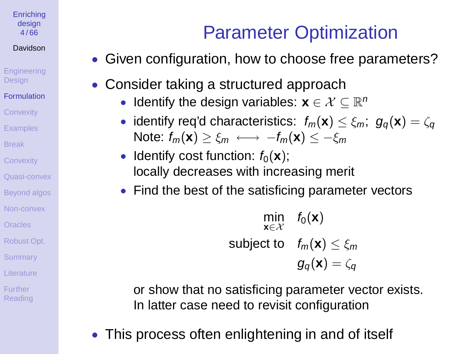**[Enriching](#page-0-0)** design  $4/66$ 

### Davidson

**[Engineering](#page-1-0) Design** 

- [Formulation](#page-3-0)
- **[Convexity](#page-15-0)**
- **[Examples](#page-18-0)**
- [Break](#page-29-0)
- **[Convexity](#page-31-0)**
- [Quasi-convex](#page-38-0)
- [Beyond algos](#page-40-0)
- [Non-convex](#page-45-0)
- [Oracles](#page-57-0)
- [Robust Opt.](#page-58-0)
- **[Summary](#page-60-0)**
- [Literature](#page-61-0)
- <span id="page-3-0"></span>Further [Reading](#page-65-0)

# Parameter Optimization

- Given configuration, how to choose free parameters?
- Consider taking a structured approach
	- Identify the design variables:  $\mathbf{x} \in \mathcal{X} \subseteq \mathbb{R}^n$
	- identify req'd characteristics:  $f_m(\mathbf{x}) \leq \xi_m$ ;  $g_\alpha(\mathbf{x}) = \zeta_\alpha$ Note:  $f_m(\mathbf{x}) > \xi_m \longleftrightarrow -f_m(\mathbf{x}) < -\xi_m$
	- Identify cost function:  $f_0(\mathbf{x})$ ; locally decreases with increasing merit
	- Find the best of the satisficing parameter vectors

$$
\min_{\mathbf{x} \in \mathcal{X}} \quad f_0(\mathbf{x})
$$
\n
$$
\text{subject to} \quad f_m(\mathbf{x}) \le \xi_m
$$
\n
$$
g_q(\mathbf{x}) = \zeta_q
$$

or show that no satisficing parameter vector exists. In latter case need to revisit configuration

This process often enlightening in and of itself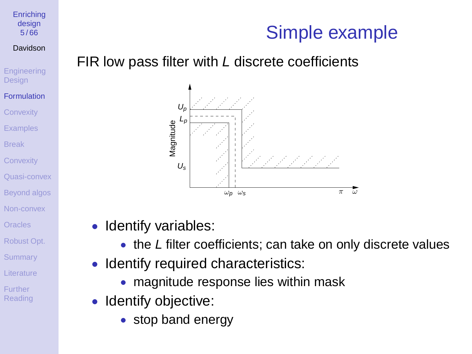## Simple example

### FIR low pass filter with L discrete coefficients



Identify variables:

[Enriching](#page-0-0) design 5 / 66 Davidson **[Engineering](#page-1-0) Design** [Formulation](#page-3-0) **[Convexity](#page-15-0) [Examples](#page-18-0)** [Break](#page-29-0) **[Convexity](#page-31-0)** [Quasi-convex](#page-38-0) [Beyond algos](#page-40-0) [Non-convex](#page-45-0) **[Oracles](#page-57-0)** [Robust Opt.](#page-58-0) **[Summary](#page-60-0)** [Literature](#page-61-0) Further [Reading](#page-65-0)

- the L filter coefficients; can take on only discrete values
- Identify required characteristics:
	- magnitude response lies within mask
- Identify objective:
	- stop band energy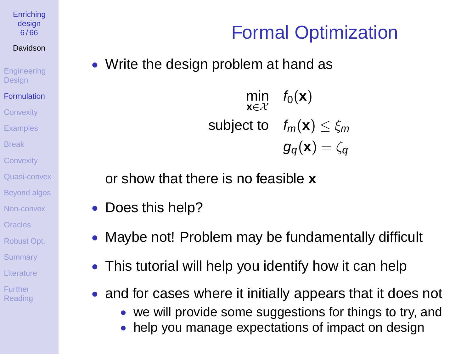**[Enriching](#page-0-0)** design  $6/66$ 

Davidson

**[Engineering](#page-1-0)** Design

[Formulation](#page-3-0) **[Convexity](#page-15-0)** 

**[Examples](#page-18-0)** 

[Break](#page-29-0)

**[Convexity](#page-31-0)** 

[Quasi-convex](#page-38-0)

[Beyond algos](#page-40-0)

[Non-convex](#page-45-0)

**[Oracles](#page-57-0)** 

[Robust Opt.](#page-58-0)

**[Summary](#page-60-0)** 

[Literature](#page-61-0)

Further [Reading](#page-65-0) • Write the design problem at hand as

min **x**∈X  $f_0(\mathbf{x})$ subject to  $f_m(\mathbf{x}) < \varepsilon_m$  $g_{\alpha}(\mathbf{x}) = \zeta_{\alpha}$ 

Formal Optimization

or show that there is no feasible **x**

- Does this help?
- Maybe not! Problem may be fundamentally difficult
- This tutorial will help you identify how it can help
- and for cases where it initially appears that it does not
	- we will provide some suggestions for things to try, and
	- help you manage expectations of impact on design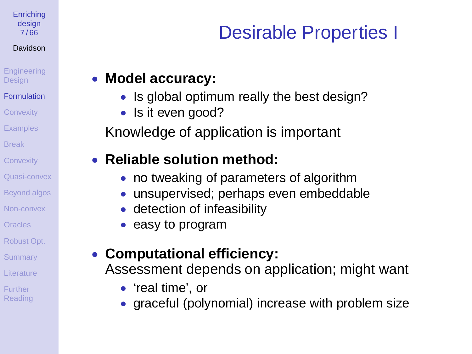**[Enriching](#page-0-0)** design 7 / 66

### Davidson

**[Engineering](#page-1-0) Design** 

[Formulation](#page-3-0)

**[Convexity](#page-15-0)** 

**[Examples](#page-18-0)** 

[Break](#page-29-0)

**[Convexity](#page-31-0)** 

[Quasi-convex](#page-38-0)

[Beyond algos](#page-40-0)

[Non-convex](#page-45-0)

[Oracles](#page-57-0)

[Robust Opt.](#page-58-0)

**[Summary](#page-60-0)** 

[Literature](#page-61-0)

Further [Reading](#page-65-0)

# Desirable Properties I

### • **Model accuracy:**

- Is global optimum really the best design?
- Is it even good?

Knowledge of application is important

### • **Reliable solution method:**

- no tweaking of parameters of algorithm
- unsupervised; perhaps even embeddable
- detection of infeasibility
- easy to program

### • **Computational efficiency:** Assessment depends on application; might want

- 'real time', or
- graceful (polynomial) increase with problem size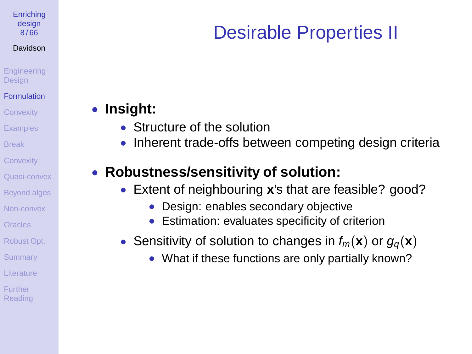**[Enriching](#page-0-0)** design 8 / 66

#### Davidson

**[Engineering](#page-1-0) Design** 

- **[Formulation](#page-3-0)**
- **[Convexity](#page-15-0)**
- **[Examples](#page-18-0)**
- [Break](#page-29-0)
- **[Convexity](#page-31-0)**
- [Quasi-convex](#page-38-0)
- [Beyond algos](#page-40-0)
- [Non-convex](#page-45-0)
- **[Oracles](#page-57-0)**
- [Robust Opt.](#page-58-0)
- **[Summary](#page-60-0)**
- [Literature](#page-61-0)
- Further **[Reading](#page-65-0)**

# Desirable Properties II

### • **Insight:**

- Structure of the solution
- Inherent trade-offs between competing design criteria

### • **Robustness/sensitivity of solution:**

- Extent of neighbouring **x**'s that are feasible? good?
	- Design: enables secondary objective
	- Estimation: evaluates specificity of criterion
- Sensitivity of solution to changes in  $f_m(\mathbf{x})$  or  $g_a(\mathbf{x})$ 
	- What if these functions are only partially known?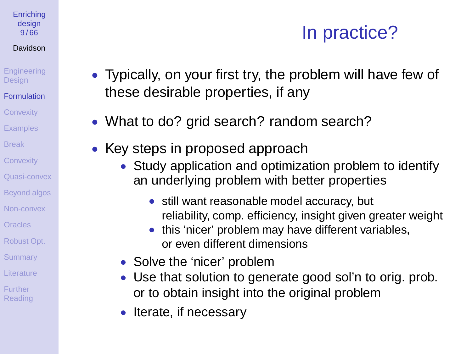# In practice?

**[Engineering](#page-1-0) Design** 

**[Enriching](#page-0-0)** design 9 / 66 Davidson

- **[Formulation](#page-3-0)**
- **[Convexity](#page-15-0)**
- **[Examples](#page-18-0)**
- [Break](#page-29-0)
- **[Convexity](#page-31-0)**
- [Quasi-convex](#page-38-0)
- [Beyond algos](#page-40-0)
- [Non-convex](#page-45-0)
- **[Oracles](#page-57-0)**
- [Robust Opt.](#page-58-0)
- **[Summary](#page-60-0)**
- [Literature](#page-61-0)
- Further [Reading](#page-65-0)
- Typically, on your first try, the problem will have few of these desirable properties, if any
- What to do? grid search? random search?
- Key steps in proposed approach
	- Study application and optimization problem to identify an underlying problem with better properties
		- still want reasonable model accuracy, but reliability, comp. efficiency, insight given greater weight
		- this 'nicer' problem may have different variables, or even different dimensions
	- Solve the 'nicer' problem
	- Use that solution to generate good sol'n to orig. prob. or to obtain insight into the original problem
	- Iterate, if necessary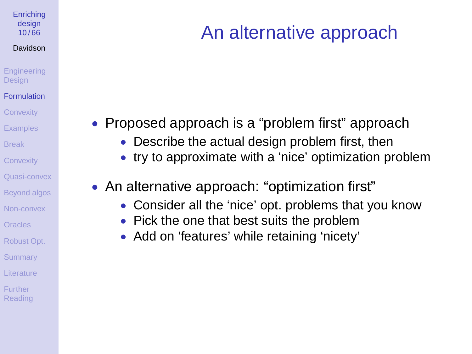#### **[Enriching](#page-0-0)** design  $10/66$

#### Davidson

**[Engineering](#page-1-0) Design** 

#### [Formulation](#page-3-0)

**[Convexity](#page-15-0)** 

**[Examples](#page-18-0)** 

[Break](#page-29-0)

**[Convexity](#page-31-0)** 

[Quasi-convex](#page-38-0)

[Beyond algos](#page-40-0)

[Non-convex](#page-45-0)

[Oracles](#page-57-0)

[Robust Opt.](#page-58-0)

**[Summary](#page-60-0)** 

[Literature](#page-61-0)

Further [Reading](#page-65-0)

# An alternative approach

- Proposed approach is a "problem first" approach
	- Describe the actual design problem first, then
	- try to approximate with a 'nice' optimization problem
- An alternative approach: "optimization first"
	- Consider all the 'nice' opt. problems that you know
	- Pick the one that best suits the problem
	- Add on 'features' while retaining 'nicety'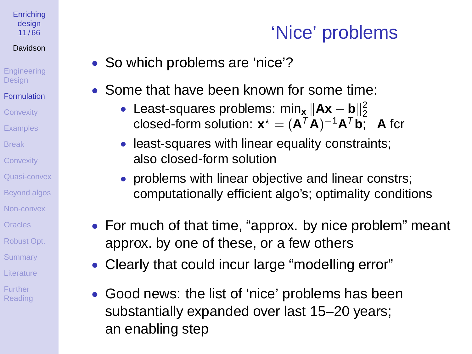#### **[Enriching](#page-0-0)** design 11 / 66

### Davidson

**[Engineering](#page-1-0) Design** 

- [Formulation](#page-3-0)
- **[Convexity](#page-15-0)**
- **[Examples](#page-18-0)**
- [Break](#page-29-0)
- **[Convexity](#page-31-0)**
- [Quasi-convex](#page-38-0)
- [Beyond algos](#page-40-0)
- [Non-convex](#page-45-0)
- [Oracles](#page-57-0)
- [Robust Opt.](#page-58-0)
- **[Summary](#page-60-0)**
- [Literature](#page-61-0)
- Further [Reading](#page-65-0)

# 'Nice' problems

- So which problems are 'nice'?
- Some that have been known for some time:
	- Least-squares problems: min<sub>x</sub><sub>⊥</sub>||Ax b<sub>1</sub>|2</sub> closed-form solution:  $\mathbf{x}^* = (\mathbf{A}^T \mathbf{A})^{-1} \mathbf{A}^T \mathbf{b}$ ; A fcr
	- least-squares with linear equality constraints; also closed-form solution
	- problems with linear objective and linear constrs; computationally efficient algo's; optimality conditions
- For much of that time, "approx. by nice problem" meant approx. by one of these, or a few others
- Clearly that could incur large "modelling error"
- Good news: the list of 'nice' problems has been substantially expanded over last 15–20 years; an enabling step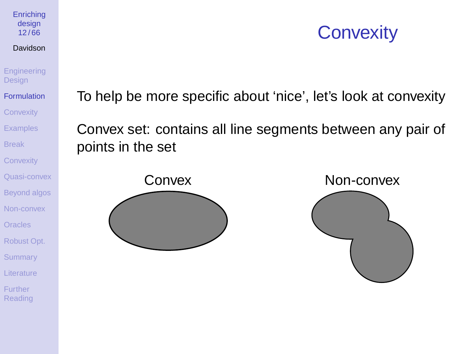## **Convexity**

Davidson **[Engineering](#page-1-0)** 

**[Enriching](#page-0-0)** design 12 / 66

Design

[Formulation](#page-3-0) **[Convexity](#page-15-0)** [Examples](#page-18-0) [Break](#page-29-0)

**[Convexity](#page-31-0)** 

[Quasi-convex](#page-38-0) [Beyond algos](#page-40-0)

[Non-convex](#page-45-0) [Oracles](#page-57-0)

[Robust Opt.](#page-58-0)

**[Summary](#page-60-0)** 

[Literature](#page-61-0)

Further [Reading](#page-65-0) To help be more specific about 'nice', let's look at convexity

Convex set: contains all line segments between any pair of points in the set

Convex Non-convex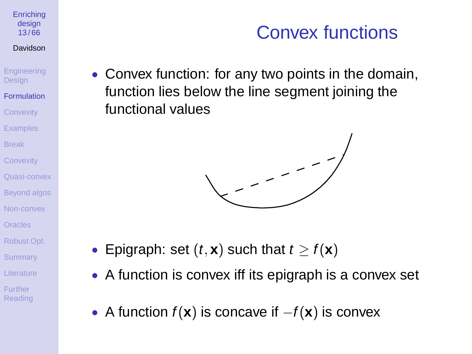#### **[Enriching](#page-0-0)** design 13 / 66

#### Davidson

**[Engineering](#page-1-0) Design** 

- [Formulation](#page-3-0) **[Convexity](#page-15-0)**
- **[Examples](#page-18-0)**
- [Break](#page-29-0)
- **[Convexity](#page-31-0)**
- [Quasi-convex](#page-38-0)
- [Beyond algos](#page-40-0)
- [Non-convex](#page-45-0)
- [Oracles](#page-57-0)
- [Robust Opt.](#page-58-0)
- **[Summary](#page-60-0)**
- [Literature](#page-61-0)
- Further **[Reading](#page-65-0)**

# Convex functions

• Convex function: for any two points in the domain, function lies below the line segment joining the functional values



- Epigraph: set  $(t, \mathbf{x})$  such that  $t > f(\mathbf{x})$
- A function is convex iff its epigraph is a convex set
- A function  $f(x)$  is concave if  $-f(x)$  is convex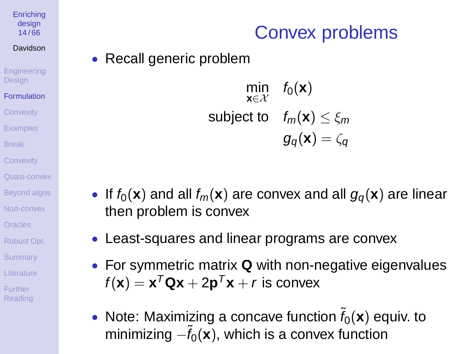#### **[Enriching](#page-0-0)** design 14 / 66

#### Davidson

**[Engineering](#page-1-0) Design** 

- [Formulation](#page-3-0) **[Convexity](#page-15-0)**
- **[Examples](#page-18-0)**
- [Break](#page-29-0)
- **[Convexity](#page-31-0)**
- [Quasi-convex](#page-38-0)
- [Beyond algos](#page-40-0)
- [Non-convex](#page-45-0)
- [Oracles](#page-57-0)
- [Robust Opt.](#page-58-0)
- **[Summary](#page-60-0)**
- [Literature](#page-61-0)
- Further [Reading](#page-65-0)

# Convex problems

• Recall generic problem



- If  $f_0(\mathbf{x})$  and all  $f_m(\mathbf{x})$  are convex and all  $g_\alpha(\mathbf{x})$  are linear then problem is convex
- Least-squares and linear programs are convex
- For symmetric matrix **Q** with non-negative eigenvalues  $f(\mathbf{x}) = \mathbf{x}^T \mathbf{Q} \mathbf{x} + 2 \mathbf{p}^T \mathbf{x} + r$  is convex
- Note: Maximizing a concave function  $f_0(\mathbf{x})$  equiv. to minimizing  $-\tilde{f}_0(\mathbf{x})$ , which is a convex function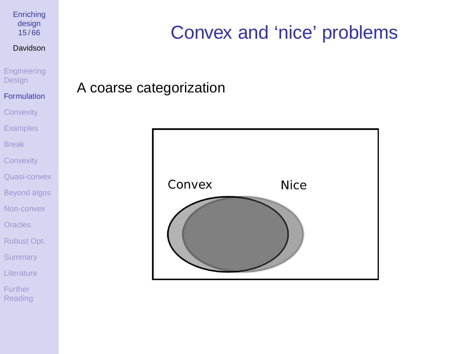**[Enriching](#page-0-0)** design 15 / 66

#### Davidson

[Engineering](#page-1-0) **Design** 

### [Formulation](#page-3-0) **[Convexity](#page-15-0)** [Examples](#page-18-0)

[Break](#page-29-0)

**[Convexity](#page-31-0)** 

[Quasi-convex](#page-38-0)

[Beyond algos](#page-40-0)

[Non-convex](#page-45-0)

**[Oracles](#page-57-0)** 

[Robust Opt.](#page-58-0)

**[Summary](#page-60-0)** 

**[Literature](#page-61-0)** 

Further [Reading](#page-65-0)

# Convex and 'nice' problems

A coarse categorization

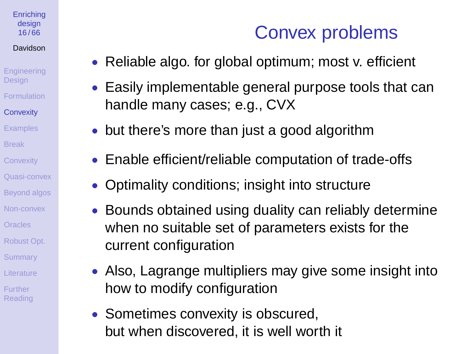#### **[Enriching](#page-0-0)** desian 16 / 66

### Davidson

**[Engineering](#page-1-0) Design** [Formulation](#page-3-0) **[Convexity](#page-15-0) [Examples](#page-18-0)** 

- [Break](#page-29-0)
- **[Convexity](#page-31-0)**
- [Quasi-convex](#page-38-0)
- [Beyond algos](#page-40-0)
- [Non-convex](#page-45-0)
- [Oracles](#page-57-0)
- [Robust Opt.](#page-58-0)
- **[Summary](#page-60-0)**
- [Literature](#page-61-0)
- <span id="page-15-0"></span>Further [Reading](#page-65-0)

## Convex problems

- Reliable algo. for global optimum; most v. efficient
- Easily implementable general purpose tools that can handle many cases; e.g., CVX
- but there's more than just a good algorithm
- Enable efficient/reliable computation of trade-offs
- Optimality conditions; insight into structure
- Bounds obtained using duality can reliably determine when no suitable set of parameters exists for the current configuration
- Also, Lagrange multipliers may give some insight into how to modify configuration
- Sometimes convexity is obscured, but when discovered, it is well worth it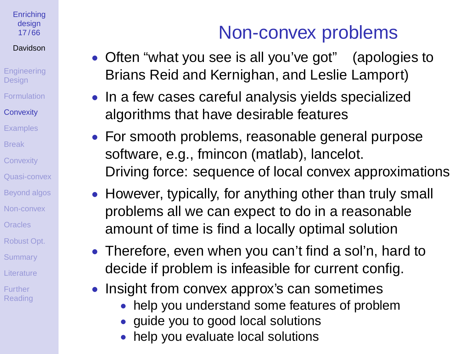### **[Enriching](#page-0-0)** design 17 / 66

Davidson

- **[Engineering](#page-1-0) Design** [Formulation](#page-3-0)
- **[Convexity](#page-15-0)**
- **[Examples](#page-18-0)**
- [Break](#page-29-0)
- **[Convexity](#page-31-0)**
- [Quasi-convex](#page-38-0)
- [Beyond algos](#page-40-0)
- [Non-convex](#page-45-0)
- [Oracles](#page-57-0)
- [Robust Opt.](#page-58-0)
- **[Summary](#page-60-0)**
- [Literature](#page-61-0)
- Further [Reading](#page-65-0)

# Non-convex problems

- Often "what you see is all you've got" (apologies to Brians Reid and Kernighan, and Leslie Lamport)
- In a few cases careful analysis yields specialized algorithms that have desirable features
- For smooth problems, reasonable general purpose software, e.g., fmincon (matlab), lancelot. Driving force: sequence of local convex approximations
- However, typically, for anything other than truly small problems all we can expect to do in a reasonable amount of time is find a locally optimal solution
- Therefore, even when you can't find a sol'n, hard to decide if problem is infeasible for current config.
- Insight from convex approx's can sometimes
	- help you understand some features of problem
	- guide you to good local solutions
	- help you evaluate local solutions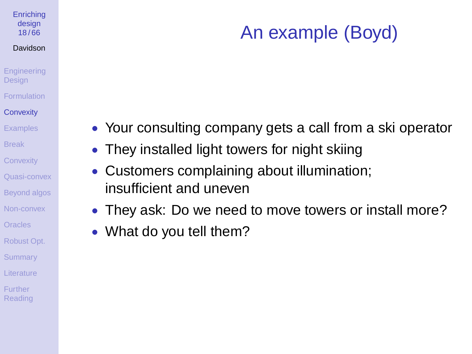### **[Enriching](#page-0-0)** design 18 / 66

#### Davidson

### **[Engineering](#page-1-0) Design [Formulation](#page-3-0) [Convexity](#page-15-0)**

- **[Examples](#page-18-0)**
- [Break](#page-29-0)
- **[Convexity](#page-31-0)**
- [Quasi-convex](#page-38-0)
- [Beyond algos](#page-40-0)
- [Non-convex](#page-45-0)
- [Oracles](#page-57-0)
- [Robust Opt.](#page-58-0)
- **[Summary](#page-60-0)**
- [Literature](#page-61-0)
- Further [Reading](#page-65-0)

# An example (Boyd)

- Your consulting company gets a call from a ski operator
- They installed light towers for night skiing
- Customers complaining about illumination; insufficient and uneven
- They ask: Do we need to move towers or install more?
- What do you tell them?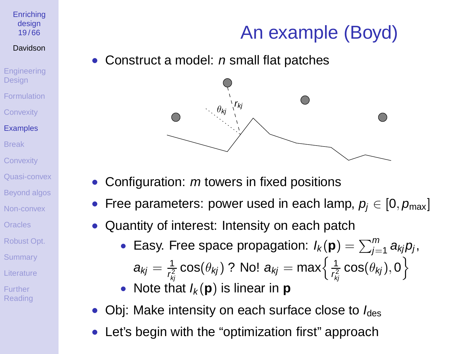# An example (Boyd)

desian 19 / 66 Davidson

**[Enriching](#page-0-0)** 

- **[Engineering](#page-1-0) Design [Formulation](#page-3-0) [Convexity](#page-15-0)** [Examples](#page-18-0) [Break](#page-29-0) **[Convexity](#page-31-0)**
- [Quasi-convex](#page-38-0)
- [Beyond algos](#page-40-0)
- [Non-convex](#page-45-0)
- **[Oracles](#page-57-0)**
- [Robust Opt.](#page-58-0)
- **[Summary](#page-60-0)**
- [Literature](#page-61-0)
- <span id="page-18-0"></span>Further [Reading](#page-65-0)

Construct a model: *n* small flat patches



- Configuration:  $m$  towers in fixed positions
- Free parameters: power used in each lamp,  $p_i \in [0, p_{max}]$
- Quantity of interest: Intensity on each patch
	- Easy. Free space propagation:  $I_k(\mathbf{p}) = \sum_{j=1}^m a_{kj} p_j$ ,  $a_{kj}=\frac{1}{r^2}$  $\frac{1}{r_{kj}^2}\cos(\theta_{kj})$  ? No!  $a_{kj}=\max\Bigl\{\frac{1}{r_{kj}^2}\Bigr\}$  $\frac{1}{r_{kj}^2}\cos(\theta_{kj}),0\Big\}$ • Note that  $I_k(\mathbf{p})$  is linear in **p**
- Obj: Make intensity on each surface close to  $I_{des}$
- Let's begin with the "optimization first" approach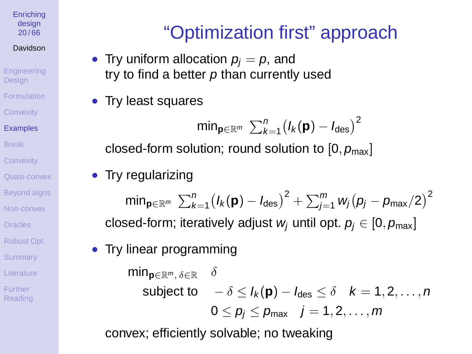#### **[Enriching](#page-0-0)** design 20 / 66

### Davidson

**[Engineering](#page-1-0) Design** [Formulation](#page-3-0) **[Convexity](#page-15-0)** [Examples](#page-18-0)

[Break](#page-29-0)

**[Convexity](#page-31-0)** 

[Quasi-convex](#page-38-0)

[Beyond algos](#page-40-0)

[Non-convex](#page-45-0)

**[Oracles](#page-57-0)** 

[Robust Opt.](#page-58-0)

**[Summary](#page-60-0)** 

[Literature](#page-61-0)

Further [Reading](#page-65-0)

# "Optimization first" approach

- Try uniform allocation  $p_i = p$ , and try to find a better  $p$  than currently used
- Try least squares

$$
\mathsf{min}_{\mathbf{p}\in\mathbb{R}^m}\ \textstyle{\sum_{k=1}^n}\big(I_k(\mathbf{p})-I_{\text{des}}\big)^2
$$

closed-form solution; round solution to  $[0, p_{max}]$ 

• Try regularizing

 $\mathsf{min}_{\mathbf{p}\in \mathbb{R}^m}\ \sum_{k=1}^n \big(\mathit{I}_k(\mathbf{p}) - \mathit{I}_\mathsf{des}\big)^2 + \sum_{j=1}^m \mathit{w}_j \big(\mathit{p}_j - \mathit{p}_\mathsf{max}/2\big)^2$ closed-form; iteratively adjust w<sub>i</sub> until opt.  $p_i \in [0, p_{max}]$ 

• Try linear programming

**min<sub>n∈R</sub>**m  $\delta$ ∈R δ subject to  $-\delta \leq l_{k}(\mathbf{p}) - l_{\text{des}} \leq \delta \quad k = 1, 2, \ldots, n$  $0 \le p_i \le p_{\text{max}} \quad i = 1, 2, \dots, m$ 

convex; efficiently solvable; no tweaking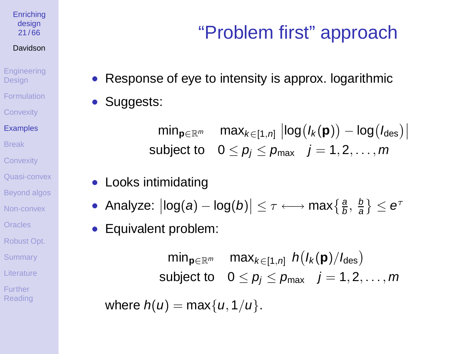**[Enriching](#page-0-0)** design 21 / 66

#### Davidson

**[Engineering](#page-1-0) Design** [Formulation](#page-3-0) **[Convexity](#page-15-0)** [Examples](#page-18-0)

[Break](#page-29-0)

**[Convexity](#page-31-0)** 

[Quasi-convex](#page-38-0)

[Beyond algos](#page-40-0)

[Non-convex](#page-45-0)

[Oracles](#page-57-0)

[Robust Opt.](#page-58-0)

**[Summary](#page-60-0)** 

[Literature](#page-61-0)

Further [Reading](#page-65-0)

# "Problem first" approach

- Response of eye to intensity is approx. logarithmic
- Suggests:

 $\min_{\mathbf{p}\in\mathbb{R}^m}$  max $_{k\in[1,n]}$   $\left|\log(I_k(\mathbf{p})) - \log(I_{\text{des}})\right|$ subject to  $0 \le p_i \le p_{max}$   $j = 1, 2, \ldots, m$ 

- Looks intimidating
- Analyze:  $\big|\text{log}(a) \text{log}(b)\big| \leq \tau \longleftrightarrow \max\left\{\frac{a}{b},\frac{b}{a}\right\} \leq e^{\tau}$
- Equivalent problem:

 $\mathsf{min}_{\mathbf{p}\in\mathbb{R}^m}$  max $_{k\in[1,n]}$   $h(I_k(\mathbf{p})/I_{\text{des}})$ subject to  $0 \le p_i \le p_{\text{max}}$   $j = 1, 2, \ldots, m$ 

where  $h(u) = \max\{u, 1/u\}$ .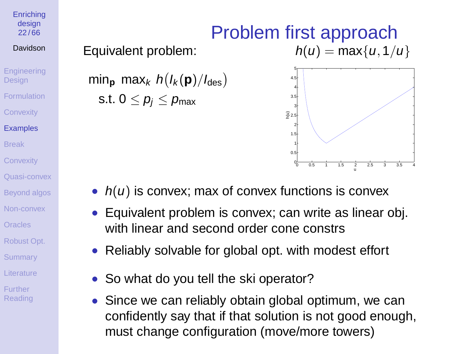**[Enriching](#page-0-0)** design  $22/66$ 

### Davidson

**[Engineering](#page-1-0) Design** [Formulation](#page-3-0) **[Convexity](#page-15-0)** [Examples](#page-18-0) [Break](#page-29-0) **[Convexity](#page-31-0)** [Quasi-convex](#page-38-0)

[Beyond algos](#page-40-0)

[Non-convex](#page-45-0)

**[Oracles](#page-57-0)** 

[Robust Opt.](#page-58-0)

**[Summary](#page-60-0)** 

[Literature](#page-61-0)

Further [Reading](#page-65-0)

## Equivalent problem:

 $\min_{\mathbf{p}} \max_{k} h(l_k(\mathbf{p})/l_{\text{des}})$ s.t.  $0 \leq p_i \leq p_{\text{max}}$ 

## Problem first approach  $h(u) = \max\{u, 1/u\}$



- $h(u)$  is convex; max of convex functions is convex
- Equivalent problem is convex; can write as linear obj. with linear and second order cone constrs
- Reliably solvable for global opt. with modest effort
- So what do you tell the ski operator?
- Since we can reliably obtain global optimum, we can confidently say that if that solution is not good enough, must change configuration (move/more towers)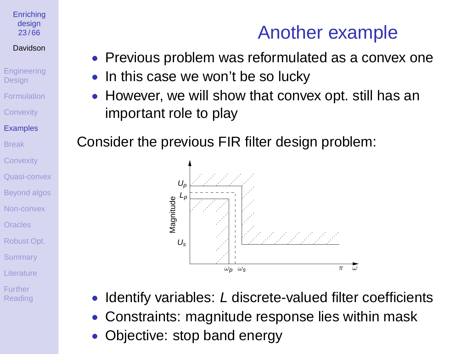#### **[Enriching](#page-0-0)** desian 23 / 66

### Davidson

**[Engineering](#page-1-0) Design** [Formulation](#page-3-0) **[Convexity](#page-15-0) [Examples](#page-18-0)** [Break](#page-29-0)

**[Convexity](#page-31-0)** [Quasi-convex](#page-38-0)

[Beyond algos](#page-40-0) [Non-convex](#page-45-0) **[Oracles](#page-57-0)** [Robust Opt.](#page-58-0)

**[Summary](#page-60-0)** 

[Literature](#page-61-0)

Further **[Reading](#page-65-0)** 

## Another example

- Previous problem was reformulated as a convex one
- In this case we won't be so lucky
- However, we will show that convex opt. still has an important role to play

Consider the previous FIR filter design problem:



- Identify variables: L discrete-valued filter coefficients
- Constraints: magnitude response lies within mask
- Objective: stop band energy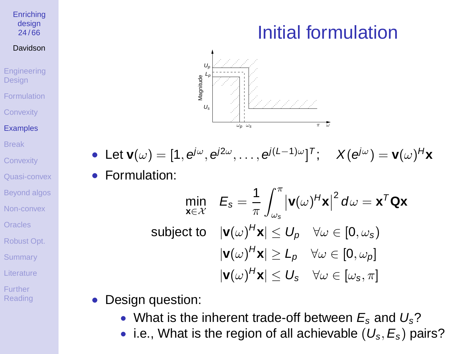### **[Enriching](#page-0-0)** design  $24 / 66$

#### Davidson

- **[Engineering](#page-1-0) Design [Formulation](#page-3-0) [Convexity](#page-15-0)**
- [Examples](#page-18-0)
- [Break](#page-29-0)
- **[Convexity](#page-31-0)**
- [Quasi-convex](#page-38-0)
- [Beyond algos](#page-40-0)
- [Non-convex](#page-45-0)
- [Oracles](#page-57-0)
- [Robust Opt.](#page-58-0)
- **[Summary](#page-60-0)**
- [Literature](#page-61-0)
- Further [Reading](#page-65-0)

# Initial formulation



 $\bullet$  Let  $\mathbf{v}(\omega) = [1, \mathbf{e}^{j\omega}, \mathbf{e}^{j2\omega}, \dots, \mathbf{e}^{j(l-1)\omega}]^T; \quad X(\mathbf{e}^{j\omega}) = \mathbf{v}(\omega)^H \mathbf{x}$ • Formulation:

$$
\min_{\mathbf{x} \in \mathcal{X}} \quad E_{s} = \frac{1}{\pi} \int_{\omega_{s}}^{\pi} |\mathbf{v}(\omega)^{H} \mathbf{x}|^{2} d\omega = \mathbf{x}^{T} \mathbf{Q} \mathbf{x}
$$
\n
$$
\text{subject to} \quad |\mathbf{v}(\omega)^{H} \mathbf{x}| \leq U_{p} \quad \forall \omega \in [0, \omega_{s})
$$
\n
$$
|\mathbf{v}(\omega)^{H} \mathbf{x}| \geq L_{p} \quad \forall \omega \in [0, \omega_{p}]
$$
\n
$$
|\mathbf{v}(\omega)^{H} \mathbf{x}| \leq U_{s} \quad \forall \omega \in [\omega_{s}, \pi]
$$

- Design question:
	- What is the inherent trade-off between  $E_s$  and  $U_s$ ?
	- i.e., What is the region of all achievable  $(U_s, E_s)$  pairs?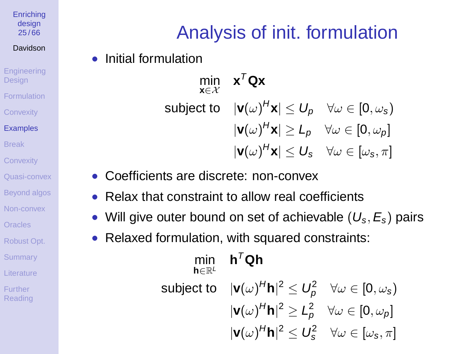**[Enriching](#page-0-0)** design 25 / 66

#### Davidson

**[Engineering](#page-1-0) Design** [Formulation](#page-3-0) **[Convexity](#page-15-0)** [Examples](#page-18-0) [Break](#page-29-0) **[Convexity](#page-31-0)** 

[Quasi-convex](#page-38-0)

[Beyond algos](#page-40-0)

[Non-convex](#page-45-0)

[Oracles](#page-57-0)

[Robust Opt.](#page-58-0)

**[Summary](#page-60-0)** 

[Literature](#page-61-0)

Further [Reading](#page-65-0)

# Analysis of init. formulation

• Initial formulation

min **x**∈X **x** <sup>T</sup>**Qx** subject to  $|\mathbf{v}(\omega)^H\mathbf{x}|\leq U_p\quad\forall\omega\in[0,\omega_s)$  $|\mathbf{v}(\omega)^H\mathbf{x}|\geq L_p\quad\forall\omega\in[0,\omega_p]$  $|\mathbf{v}(\omega)^H\mathbf{x}|\leq U_{\mathbf{s}}\quad \forall \omega\in[\omega_{\mathbf{s}},\pi]$ 

- Coefficients are discrete: non-convex
- Relax that constraint to allow real coefficients
- Will give outer bound on set of achievable  $(U_s, E_s)$  pairs
- Relaxed formulation, with squared constraints:

| h $\in \mathbb{R}^L$ | min $h^T Q h$                                                                                     |  |
|----------------------|---------------------------------------------------------------------------------------------------|--|
|                      | subject to $ \mathbf{v}(\omega)^H\mathbf{h} ^2 \leq U_p^2 \quad \forall \omega \in [0, \omega_s)$ |  |
|                      | $ \mathbf{v}(\omega)^H\mathbf{h} ^2 \geq L_p^2 \quad \forall \omega \in [0, \omega_p]$            |  |
|                      | $ \mathbf{v}(\omega)^H\mathbf{h} ^2 \leq U_s^2 \quad \forall \omega \in [\omega_s, \pi]$          |  |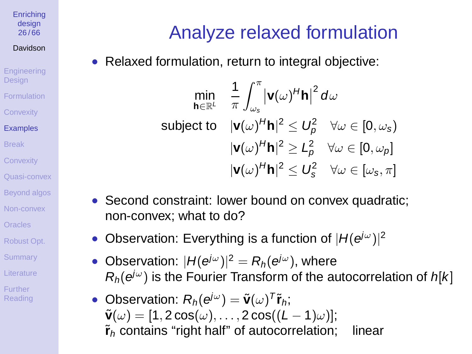**[Enriching](#page-0-0)** design 26 / 66

Davidson

**[Engineering](#page-1-0) Design** [Formulation](#page-3-0) **[Convexity](#page-15-0) [Examples](#page-18-0)** [Break](#page-29-0) **[Convexity](#page-31-0)** 

[Quasi-convex](#page-38-0)

[Beyond algos](#page-40-0)

[Non-convex](#page-45-0)

[Oracles](#page-57-0)

[Robust Opt.](#page-58-0)

**[Summary](#page-60-0)** 

[Literature](#page-61-0)

Further [Reading](#page-65-0)

# Analyze relaxed formulation

• Relaxed formulation, return to integral objective:

$$
\min_{\mathbf{h}\in\mathbb{R}^L} \quad \frac{1}{\pi} \int_{\omega_s}^{\pi} |\mathbf{v}(\omega)^H \mathbf{h}|^2 \, d\omega
$$
\nsubject to 
$$
|\mathbf{v}(\omega)^H \mathbf{h}|^2 \leq U_p^2 \quad \forall \omega \in [0, \omega_s)
$$
\n
$$
|\mathbf{v}(\omega)^H \mathbf{h}|^2 \geq L_p^2 \quad \forall \omega \in [0, \omega_p]
$$
\n
$$
|\mathbf{v}(\omega)^H \mathbf{h}|^2 \leq U_s^2 \quad \forall \omega \in [\omega_s, \pi]
$$

- Second constraint: lower bound on convex quadratic; non-convex; what to do?
- Observation: Everything is a function of  $|H(e^{j\omega})|^2$
- Observation:  $|H(e^{j\omega})|^2 = R_h(e^{j\omega})$ , where  $R_h(e^{j\omega})$  is the Fourier Transform of the autocorrelation of  $h[k]$
- Observation:  $R_h(e^{j\omega}) = \tilde{\mathbf{v}}(\omega)^\mathsf{T} \tilde{\mathbf{r}}_h$ ;  $\tilde{\mathbf{v}}(\omega) = [1, 2\cos(\omega), \dots, 2\cos((L-1)\omega)]$ ;  $\tilde{\mathbf{r}}_h$  contains "right half" of autocorrelation; linear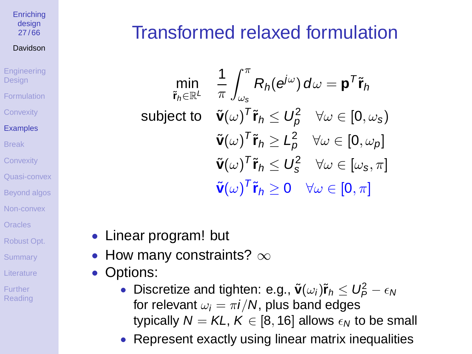#### **[Enriching](#page-0-0)** design 27 / 66

### Davidson

**[Engineering](#page-1-0) Design** 

**[Formulation](#page-3-0)** 

**[Convexity](#page-15-0)** 

[Examples](#page-18-0)

[Break](#page-29-0)

**[Convexity](#page-31-0)** 

[Quasi-convex](#page-38-0)

[Beyond algos](#page-40-0)

[Non-convex](#page-45-0)

**[Oracles](#page-57-0)** 

[Robust Opt.](#page-58-0)

**[Summary](#page-60-0)** 

[Literature](#page-61-0)

Further [Reading](#page-65-0)

# Transformed relaxed formulation

min ˜**r**h∈R<sup>L</sup> 1  $\pi$  $\int_0^\pi$  $\omega_{\rm s}$  $R_h(e^{j\omega}) d\omega = \mathbf{p}^T \tilde{\mathbf{r}}_h$ subject to  $\tilde{\mathbf{v}}(\omega)^\mathsf{T} \tilde{\mathbf{r}}_h \leq U_\rho^2 \quad \forall \omega \in [0,\omega_{\mathbf{s}})$  $\tilde{\mathbf{v}}(\omega)^\mathsf{T} \tilde{\mathbf{r}}_h \geq L_p^2 \quad \forall \omega \in [0, \omega_p]$  $\tilde{\mathbf{v}}(\omega)^\mathsf{T} \tilde{\mathbf{r}}_h \leq \mathbf{U}_\mathbf{s}^2 \quad \forall \omega \in [\omega_\mathbf{s}, \pi]$  $\tilde{\mathbf{v}}(\omega)^\mathcal{T}\tilde{\mathbf{r}}_h\geq 0 \quad \forall \omega\in [0,\pi]$ 

- Linear program! but
- How many constraints?  $\infty$
- Options:
	- Discretize and tighten: e.g.,  $\tilde{\mathbf{v}}(\omega_i)\tilde{\mathbf{r}}_h \leq U_P^2 \epsilon_N$ for relevant  $\omega_i = \pi i/N$ , plus band edges typically  $N = KL, K \in [8, 16]$  allows  $\epsilon_N$  to be small
	- Represent exactly using linear matrix inequalities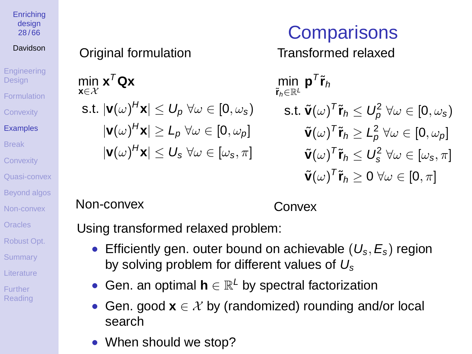#### **[Enriching](#page-0-0)** design 28 / 66

### Davidson

**[Engineering](#page-1-0) Design [Formulation](#page-3-0) [Convexity](#page-15-0)** [Examples](#page-18-0) [Break](#page-29-0) **[Convexity](#page-31-0)** [Quasi-convex](#page-38-0) [Beyond algos](#page-40-0) [Non-convex](#page-45-0) **[Oracles](#page-57-0)** [Robust Opt.](#page-58-0) **[Summary](#page-60-0)** [Literature](#page-61-0) Further [Reading](#page-65-0)

### Original formulation

$$
\min_{\mathbf{x} \in \mathcal{X}} \mathbf{x}^T \mathbf{Q} \mathbf{x}
$$
\n
$$
\text{s.t. } |\mathbf{v}(\omega)^H \mathbf{x}| \le U_p \,\forall \omega \in [0, \omega_s)
$$
\n
$$
|\mathbf{v}(\omega)^H \mathbf{x}| \ge L_p \,\forall \omega \in [0, \omega_p]
$$
\n
$$
|\mathbf{v}(\omega)^H \mathbf{x}| \le U_s \,\forall \omega \in [\omega_s, \pi]
$$

# **Comparisons**

Transformed relaxed

 $\min_{\tilde{\mathbf{r}}_h \in \mathbb{R}^L} \mathbf{p}^{\mathsf{T}} \tilde{\mathbf{r}}_h$  $\mathbf{s}.$ t.  $\tilde{\mathbf{v}}(\omega)^\mathsf{T} \tilde{\mathbf{r}}_h \leq U_p^2 \; \forall \omega \in [0, \omega_{\mathbf{s}})$  $\tilde{\mathbf{v}}(\omega)^{ \mathrm{\scriptscriptstyle T} } \tilde{\mathbf{r}}_{h} \geq L_{\rho}^{2} \ \forall \omega \in [0, \omega_{\rho}]$  $\tilde{\mathbf{v}}(\omega)^{T}\tilde{\mathbf{r}}_{h} \leq U_{\mathrm{s}}^{2} \ \forall \omega \in [\omega_{\mathrm{s}}, \pi]$  $\tilde{\mathbf{v}}(\omega)^\mathsf{T} \tilde{\mathbf{r}}_h \geq 0$   $\forall \omega \in [0, \pi]$ 

### Non-convex

 $\mathsf{n}$ **x**∈X

Convex

Using transformed relaxed problem:

- Efficiently gen. outer bound on achievable  $(U_s, E_s)$  region by solving problem for different values of  $U_s$
- Gen. an optimal  $h \in \mathbb{R}^L$  by spectral factorization
- Gen. good  $\mathbf{x} \in \mathcal{X}$  by (randomized) rounding and/or local search
- When should we stop?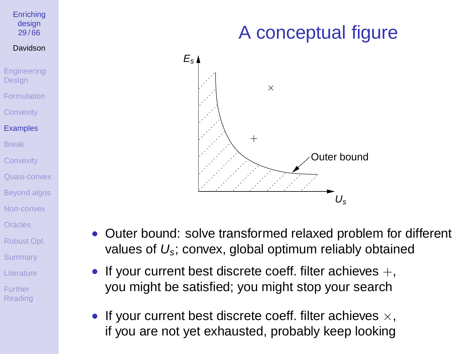#### **[Enriching](#page-0-0)** design 29 / 66

#### Davidson

**[Engineering](#page-1-0) Design** [Formulation](#page-3-0) **[Convexity](#page-15-0)** 

### [Examples](#page-18-0)

[Break](#page-29-0) **[Convexity](#page-31-0)** 

[Quasi-convex](#page-38-0)

[Beyond algos](#page-40-0)

[Non-convex](#page-45-0)

**[Oracles](#page-57-0)** 

[Robust Opt.](#page-58-0)

**[Summary](#page-60-0)** 

[Literature](#page-61-0)

Further [Reading](#page-65-0)

# A conceptual figure



- Outer bound: solve transformed relaxed problem for different values of  $U_s$ ; convex, global optimum reliably obtained
- If your current best discrete coeff. filter achieves  $+$ , you might be satisfied; you might stop your search
- If your current best discrete coeff. filter achieves  $\times$ , if you are not yet exhausted, probably keep looking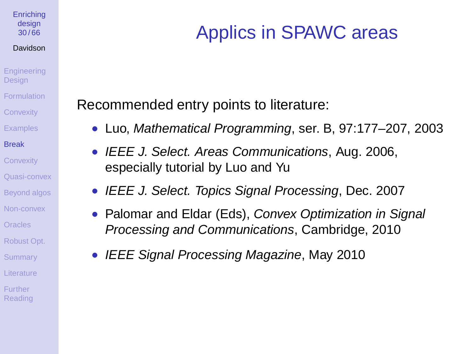#### **[Enriching](#page-0-0)** design 30 / 66

#### Davidson

- **[Engineering](#page-1-0) Design** [Formulation](#page-3-0) **[Convexity](#page-15-0) [Examples](#page-18-0)**
- [Break](#page-29-0)
- **[Convexity](#page-31-0)**
- [Quasi-convex](#page-38-0)
- [Beyond algos](#page-40-0)
- [Non-convex](#page-45-0)
- [Oracles](#page-57-0)
- [Robust Opt.](#page-58-0)
- **[Summary](#page-60-0)**
- [Literature](#page-61-0)
- <span id="page-29-0"></span>Further [Reading](#page-65-0)

# Applics in SPAWC areas

Recommended entry points to literature:

- Luo, Mathematical Programming, ser. B, 97:177–207, 2003
- IEEE J. Select. Areas Communications, Aug. 2006, especially tutorial by Luo and Yu
- IEEE J. Select. Topics Signal Processing, Dec. 2007
- Palomar and Eldar (Eds), Convex Optimization in Signal Processing and Communications, Cambridge, 2010
- IEEE Signal Processing Magazine, May 2010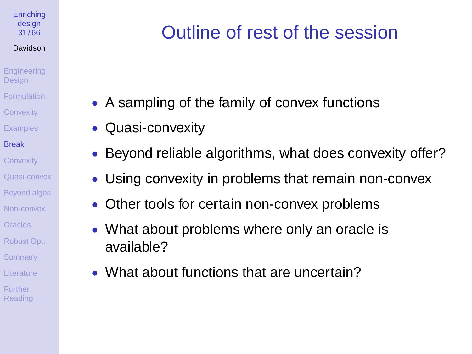### **[Enriching](#page-0-0)** design 31 / 66

#### Davidson

- **[Engineering](#page-1-0) Design [Formulation](#page-3-0) [Convexity](#page-15-0)**
- **[Examples](#page-18-0)**
- [Break](#page-29-0)
- **[Convexity](#page-31-0)**
- [Quasi-convex](#page-38-0)
- [Beyond algos](#page-40-0)
- [Non-convex](#page-45-0)
- [Oracles](#page-57-0)
- [Robust Opt.](#page-58-0)
- **[Summary](#page-60-0)**
- [Literature](#page-61-0)
- Further **[Reading](#page-65-0)**

# Outline of rest of the session

- A sampling of the family of convex functions
- Quasi-convexity
- Beyond reliable algorithms, what does convexity offer?
- Using convexity in problems that remain non-convex
- Other tools for certain non-convex problems
- What about problems where only an oracle is available?
- What about functions that are uncertain?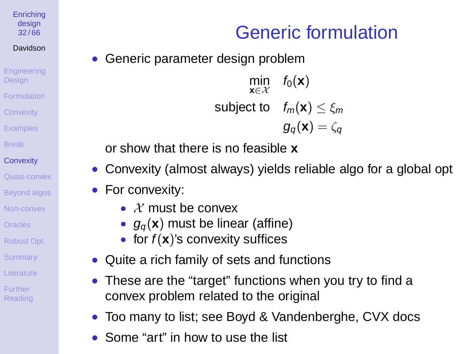**[Enriching](#page-0-0)** design 32 / 66

### Davidson

**[Engineering](#page-1-0) Design** [Formulation](#page-3-0) **[Convexity](#page-15-0) [Examples](#page-18-0)** [Break](#page-29-0)

### **[Convexity](#page-31-0)**

[Quasi-convex](#page-38-0) [Beyond algos](#page-40-0) [Non-convex](#page-45-0) **[Oracles](#page-57-0)** [Robust Opt.](#page-58-0)

**[Summary](#page-60-0)** 

[Literature](#page-61-0)

<span id="page-31-0"></span>Further [Reading](#page-65-0)

# Generic formulation

Generic parameter design problem

$$
\min_{\mathbf{x} \in \mathcal{X}} \quad f_0(\mathbf{x})
$$
\n
$$
\text{subject to} \quad f_m(\mathbf{x}) \le \xi_m
$$
\n
$$
g_q(\mathbf{x}) = \zeta_q
$$

or show that there is no feasible **x**

- Convexity (almost always) yields reliable algo for a global opt
- For convexity:
	- $\lambda$  must be convex
	- $g_{\alpha}(\mathbf{x})$  must be linear (affine)
	- for  $f(x)$ 's convexity suffices
- Quite a rich family of sets and functions
- These are the "target" functions when you try to find a convex problem related to the original
- Too many to list; see Boyd & Vandenberghe, CVX docs
- Some "art" in how to use the list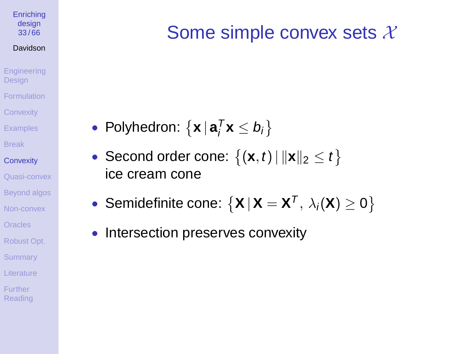### **[Enriching](#page-0-0)** design 33 / 66

#### Davidson

- **[Engineering](#page-1-0)** Design [Formulation](#page-3-0) **[Convexity](#page-15-0)**
- **[Examples](#page-18-0)**
- [Break](#page-29-0)
- **[Convexity](#page-31-0)**
- [Quasi-convex](#page-38-0) [Beyond algos](#page-40-0) [Non-convex](#page-45-0)
- [Oracles](#page-57-0)
- [Robust Opt.](#page-58-0)
- **[Summary](#page-60-0)**
- [Literature](#page-61-0)
- Further [Reading](#page-65-0)

# Some simple convex sets  $X$

- Polyhedron:  $\{ \mathbf{x} \mid \mathbf{a}_i^T \mathbf{x} \leq b_i \}$
- Second order cone:  $\{(\mathbf{x},t)\,|\, \|\mathbf{x}\|_2 \leq t\}$ ice cream cone
- Semidefinite cone:  $\{X | X = X^T, \lambda_i(X) \geq 0\}$
- Intersection preserves convexity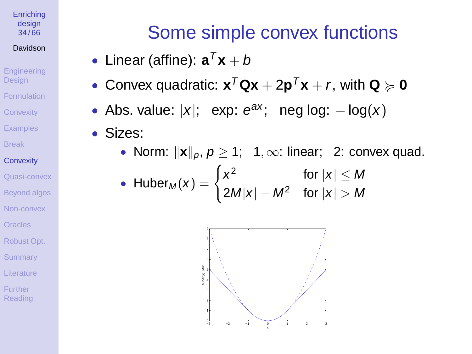**[Enriching](#page-0-0)** design 34 / 66

#### Davidson

**[Engineering](#page-1-0) Design** [Formulation](#page-3-0) **[Convexity](#page-15-0)** 

**[Examples](#page-18-0)** 

[Break](#page-29-0)

**[Convexity](#page-31-0)** 

[Quasi-convex](#page-38-0) [Beyond algos](#page-40-0) [Non-convex](#page-45-0)

**[Oracles](#page-57-0)** 

[Robust Opt.](#page-58-0)

**[Summary](#page-60-0)** 

[Literature](#page-61-0)

Further [Reading](#page-65-0)

# Some simple convex functions

- Linear (affine):  $\mathbf{a}^T\mathbf{x} + b$
- Convex quadratic:  $\mathbf{x}^T \mathbf{Q} \mathbf{x} + 2 \mathbf{p}^T \mathbf{x} + r$ , with  $\mathbf{Q} \succcurlyeq \mathbf{0}$
- Abs. value:  $|x|$ ; exp:  $e^{ax}$ ; neg log:  $-\log(x)$
- Sizes:
	- Norm:  $\|\mathbf{x}\|_p$ ,  $p \geq 1$ ; 1,  $\infty$ : linear; 2: convex quad.

• Huber<sub>M</sub>(x) = 
$$
\begin{cases} x^2 & \text{for } |x| \le M \\ 2M|x| - M^2 & \text{for } |x| > M \end{cases}
$$

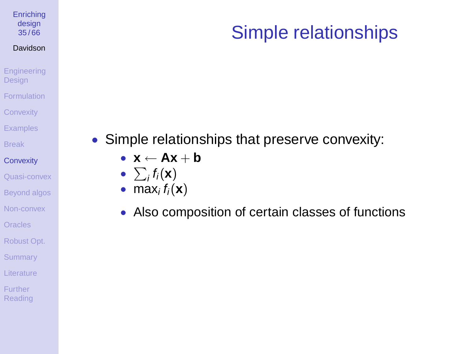#### **[Enriching](#page-0-0)** design 35 / 66

#### Davidson

### [Engineering](#page-1-0) Design [Formulation](#page-3-0)

- **[Convexity](#page-15-0)**
- **[Examples](#page-18-0)**
- [Break](#page-29-0)
- **[Convexity](#page-31-0)**
- [Quasi-convex](#page-38-0) [Beyond algos](#page-40-0)
- [Non-convex](#page-45-0)
- [Oracles](#page-57-0)
- [Robust Opt.](#page-58-0)
- **[Summary](#page-60-0)**
- [Literature](#page-61-0)
- Further **[Reading](#page-65-0)**

## • Simple relationships that preserve convexity:

- $\bullet$  **x**  $\leftarrow$  **Ax** + **b**
- $\sum_i f_i(\mathbf{x})$
- max<sub>i</sub> $f_i(\mathbf{x})$
- Also composition of certain classes of functions

# Simple relationships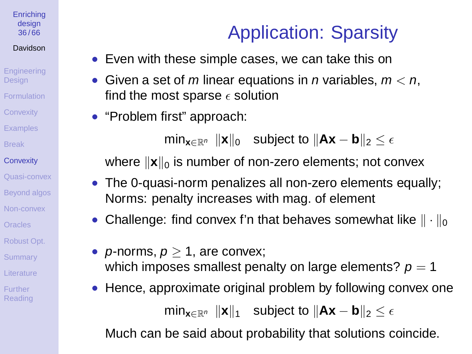#### **[Enriching](#page-0-0)** design 36 / 66

### Davidson

**[Engineering](#page-1-0)** Design [Formulation](#page-3-0) **[Convexity](#page-15-0) [Examples](#page-18-0)** [Break](#page-29-0) **[Convexity](#page-31-0)** [Quasi-convex](#page-38-0)

- [Beyond algos](#page-40-0)
- [Non-convex](#page-45-0)
- **[Oracles](#page-57-0)**
- [Robust Opt.](#page-58-0)
- **[Summary](#page-60-0)**
- [Literature](#page-61-0)
- **Further** [Reading](#page-65-0)

# Application: Sparsity

- Even with these simple cases, we can take this on
- Given a set of m linear equations in n variables,  $m < n$ , find the most sparse  $\epsilon$  solution
- "Problem first" approach:

min<sub>x∈Rn</sub>  $\|\mathbf{x}\|_0$  subject to  $\|\mathbf{Ax} - \mathbf{b}\|_2 < \epsilon$ 

where  $\|\mathbf{x}\|_{0}$  is number of non-zero elements; not convex

- The 0-quasi-norm penalizes all non-zero elements equally; Norms: penalty increases with mag. of element
- Challenge: find convex f'n that behaves somewhat like  $\|\cdot\|_0$
- *p*-norms,  $p > 1$ , are convex; which imposes smallest penalty on large elements?  $p = 1$
- Hence, approximate original problem by following convex one  $\min_{\mathbf{x} \in \mathbb{R}^n}$   $\|\mathbf{x}\|_1$  subject to  $\|\mathbf{Ax} - \mathbf{b}\|_2 \leq \epsilon$

Much can be said about probability that solutions coincide.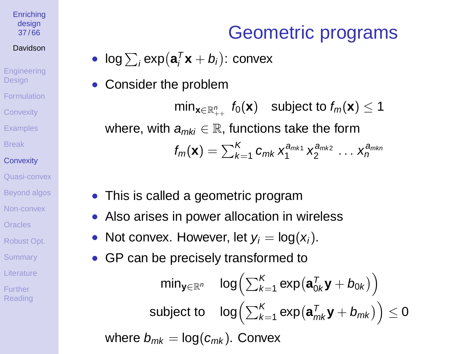#### **[Enriching](#page-0-0)** design 37 / 66

### Davidson

**[Engineering](#page-1-0) Design** [Formulation](#page-3-0) **[Convexity](#page-15-0) [Examples](#page-18-0)** [Break](#page-29-0) **[Convexity](#page-31-0)** [Quasi-convex](#page-38-0) [Beyond algos](#page-40-0) [Non-convex](#page-45-0) [Oracles](#page-57-0)

### [Robust Opt.](#page-58-0)

- **[Summary](#page-60-0)**
- [Literature](#page-61-0)
- **Further** [Reading](#page-65-0)

# Geometric programs

- $\bullet$  log  $\sum_i \exp(\mathbf{a}_i^T \mathbf{x} + b_i)$ : convex
- Consider the problem

 $\min_{\mathbf{x} \in \mathbb{R}_{++}^n} f_0(\mathbf{x})$  subject to  $f_m(\mathbf{x}) \leq 1$ where, with  $a_{mki} \in \mathbb{R}$ , functions take the form  $f_m(\mathbf{x}) = \sum_{k=1}^K c_{mk} x_1^{a_{mk1}} x_2^{a_{mk2}} \dots x_n^{a_{mkn}}$ 

- This is called a geometric program
- Also arises in power allocation in wireless
- Not convex. However, let  $y_i = \log(x_i)$ .
- GP can be precisely transformed to

$$
\mathsf{min}_{\mathbf{y} \in \mathbb{R}^n} \quad \mathsf{log} \Big( \sum_{k=1}^K \exp(\mathbf{a}_{0k}^\mathsf{T} \mathbf{y} + b_{0k}) \Big) \\ \mathsf{subject\ to}\quad \mathsf{log} \Big( \sum_{k=1}^K \exp(\mathbf{a}_{mk}^\mathsf{T} \mathbf{y} + b_{mk}) \Big) \leq 0 \\ \mathsf{where}\ b_{mk} = \mathsf{log}(c_{mk}). \ \mathsf{Convex}
$$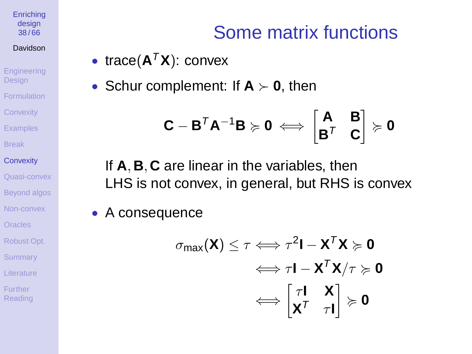#### **[Enriching](#page-0-0)** design 38 / 66

#### Davidson

**[Engineering](#page-1-0) Design [Formulation](#page-3-0) [Convexity](#page-15-0) [Examples](#page-18-0)** [Break](#page-29-0) **[Convexity](#page-31-0)** [Quasi-convex](#page-38-0)

[Beyond algos](#page-40-0)

[Non-convex](#page-45-0)

[Oracles](#page-57-0)

[Robust Opt.](#page-58-0)

**[Summary](#page-60-0)** 

[Literature](#page-61-0)

**Further** [Reading](#page-65-0)

# Some matrix functions

- trace( $A^T X$ ): convex
- Schur complement: If  $A \succ 0$ , then

$$
\boldsymbol{\mathsf{C}}-\boldsymbol{\mathsf{B}}^T\boldsymbol{\mathsf{A}}^{-1}\boldsymbol{\mathsf{B}}\succcurlyeq\boldsymbol{\mathsf{0}}\iff\begin{bmatrix}\boldsymbol{\mathsf{A}}&\boldsymbol{\mathsf{B}}\\\boldsymbol{\mathsf{B}}^T&\boldsymbol{\mathsf{C}}\end{bmatrix}\succcurlyeq\boldsymbol{\mathsf{0}}
$$

If **A**, **B**, **C** are linear in the variables, then LHS is not convex, in general, but RHS is convex

• A consequence

$$
\sigma_{\text{max}}(\mathbf{X}) \leq \tau \Longleftrightarrow \tau^2 \mathbf{I} - \mathbf{X}^T \mathbf{X} \succcurlyeq \mathbf{0}
$$

$$
\Longleftrightarrow \tau \mathbf{I} - \mathbf{X}^T \mathbf{X} / \tau \succcurlyeq \mathbf{0}
$$

$$
\Longleftrightarrow \begin{bmatrix} \tau \mathbf{I} & \mathbf{X} \\ \mathbf{X}^T & \tau \mathbf{I} \end{bmatrix} \succcurlyeq \mathbf{0}
$$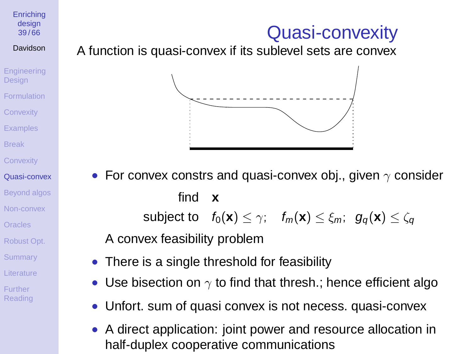## Quasi-convexity

design 39 / 66 Davidson

**[Enriching](#page-0-0)** 

- **[Engineering](#page-1-0) Design [Formulation](#page-3-0) [Convexity](#page-15-0) [Examples](#page-18-0)** [Break](#page-29-0)
- **[Convexity](#page-31-0)**
- [Quasi-convex](#page-38-0)
- [Beyond algos](#page-40-0) [Non-convex](#page-45-0)
- [Oracles](#page-57-0)
- [Robust Opt.](#page-58-0)
- **[Summary](#page-60-0)**
- [Literature](#page-61-0)
- <span id="page-38-0"></span>**Further** [Reading](#page-65-0)

### A function is quasi-convex if its sublevel sets are convex



• For convex constrs and quasi-convex obj., given  $\gamma$  consider find **x** subject to  $f_0(\mathbf{x}) < \gamma$ ;  $f_m(\mathbf{x}) < \xi_m$ ;  $g_a(\mathbf{x}) < \zeta_a$ 

A convex feasibility problem

- There is a single threshold for feasibility
- Use bisection on  $\gamma$  to find that thresh.; hence efficient algo
- Unfort. sum of quasi convex is not necess. quasi-convex
- A direct application: joint power and resource allocation in half-duplex cooperative communications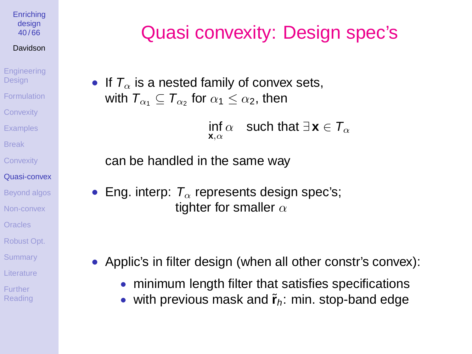#### **[Enriching](#page-0-0)** design  $40/66$

### Davidson

**[Engineering](#page-1-0) Design [Formulation](#page-3-0) [Convexity](#page-15-0) [Examples](#page-18-0)** [Break](#page-29-0) **[Convexity](#page-31-0)** [Quasi-convex](#page-38-0) [Beyond algos](#page-40-0) [Non-convex](#page-45-0)

```
Oracles
```

```
Robust Opt.
```
**[Summary](#page-60-0)** 

```
Literature
```
**Further** [Reading](#page-65-0)

# Quasi convexity: Design spec's

• If  $T<sub>\alpha</sub>$  is a nested family of convex sets, with  $\mathcal{T}_{\alpha_1} \subseteq \mathcal{T}_{\alpha_2}$  for  $\alpha_1 \leq \alpha_2,$  then

> $\inf\alpha \quad$  such that  $\exists\, {\bf x} \in \mathcal{T}_\alpha$ **x**,α

can be handled in the same way

• Eng. interp:  $T_{\alpha}$  represents design spec's; tighter for smaller  $\alpha$ 

- Applic's in filter design (when all other constr's convex):
	- minimum length filter that satisfies specifications
	- with previous mask and  $\tilde{r}_h$ : min. stop-band edge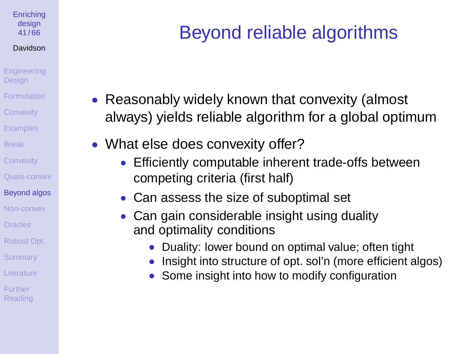#### **[Enriching](#page-0-0)** design 41 / 66

### Davidson

- **[Engineering](#page-1-0) Design** [Formulation](#page-3-0) **[Convexity](#page-15-0) [Examples](#page-18-0)** [Break](#page-29-0) **[Convexity](#page-31-0)**
- [Quasi-convex](#page-38-0)

### [Beyond algos](#page-40-0)

- [Non-convex](#page-45-0)
- [Oracles](#page-57-0)
- [Robust Opt.](#page-58-0)
- **[Summary](#page-60-0)**
- [Literature](#page-61-0)
- <span id="page-40-0"></span>**Further** [Reading](#page-65-0)

# Beyond reliable algorithms

- Reasonably widely known that convexity (almost always) yields reliable algorithm for a global optimum
- What else does convexity offer?
	- Efficiently computable inherent trade-offs between competing criteria (first half)
	- Can assess the size of suboptimal set
	- Can gain considerable insight using duality and optimality conditions
		- Duality: lower bound on optimal value; often tight
		- Insight into structure of opt. sol'n (more efficient algos)
		- Some insight into how to modify configuration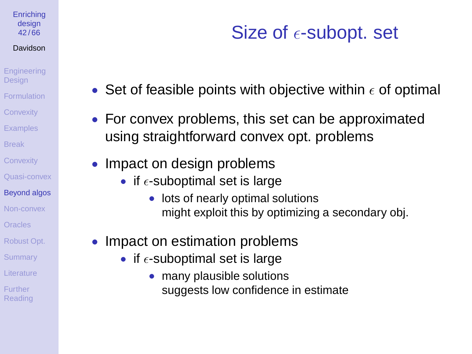#### **[Enriching](#page-0-0)** design 42 / 66

### Davidson

- **[Engineering](#page-1-0) Design** [Formulation](#page-3-0) **[Convexity](#page-15-0) [Examples](#page-18-0)** [Break](#page-29-0)
- **[Convexity](#page-31-0)** [Quasi-convex](#page-38-0)
- [Beyond algos](#page-40-0)
- [Non-convex](#page-45-0)
- **[Oracles](#page-57-0)**
- [Robust Opt.](#page-58-0)
- **[Summary](#page-60-0)**
- [Literature](#page-61-0)
- **Further** [Reading](#page-65-0)

# Size of  $\epsilon$ -subopt. set

- Set of feasible points with objective within  $\epsilon$  of optimal
- For convex problems, this set can be approximated using straightforward convex opt. problems
- Impact on design problems
	- if  $\epsilon$ -suboptimal set is large
		- lots of nearly optimal solutions might exploit this by optimizing a secondary obj.
- Impact on estimation problems
	- if  $\epsilon$ -suboptimal set is large
		- many plausible solutions suggests low confidence in estimate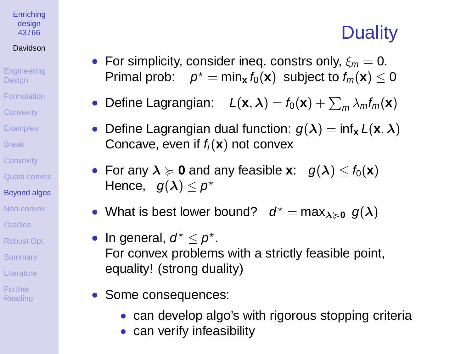## **Duality**

- For simplicity, consider ineq. constrs only,  $\xi_m = 0$ .  $\mathsf{Primal\; prob:} \quad p^\star = \mathsf{min}_{\mathbf{x}}\, f_0(\mathbf{x}) \; \text{ subject to } f_m(\mathbf{x}) \leq 0$
- Define Lagrangian:  $L(\mathbf{x}, \lambda) = f_0(\mathbf{x}) + \sum_m \lambda_m f_m(\mathbf{x})$
- Define Lagrangian dual function:  $g(\lambda) = \inf_{\mathbf{x}} L(\mathbf{x}, \lambda)$ Concave, even if  $f_i(\mathbf{x})$  not convex
- For any  $\lambda \ge 0$  and any feasible **x**:  $g(\lambda) \le f_0(\mathbf{x})$ Hence,  $g(\lambda) \leq \rho^*$
- What is best lower bound?  $d^* = \max_{\lambda \geq 0} g(\lambda)$
- In general,  $d^* \leq p^*$ . For convex problems with a strictly feasible point, equality! (strong duality)
- Some consequences:
	- can develop algo's with rigorous stopping criteria
	- can verify infeasibility

#### **[Enriching](#page-0-0)** design 43 / 66

### Davidson **[Engineering](#page-1-0)**

- Design [Formulation](#page-3-0) **[Convexity](#page-15-0)**
- [Examples](#page-18-0)
- [Break](#page-29-0)
- **[Convexity](#page-31-0)**
- [Quasi-convex](#page-38-0)

### [Beyond algos](#page-40-0)

- [Non-convex](#page-45-0)
- **[Oracles](#page-57-0)**
- [Robust Opt.](#page-58-0)
- **[Summary](#page-60-0)**
- [Literature](#page-61-0)
- **Further** [Reading](#page-65-0)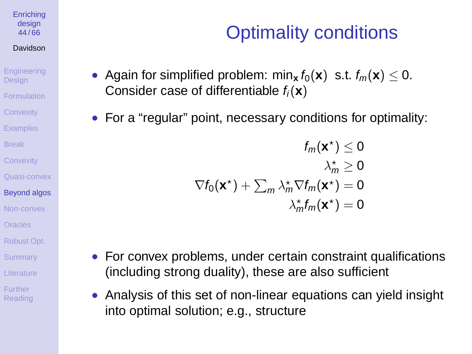**[Enriching](#page-0-0)** design 44 / 66

#### Davidson

**[Engineering](#page-1-0) Design** [Formulation](#page-3-0) **[Convexity](#page-15-0)** 

**[Examples](#page-18-0)** 

[Break](#page-29-0)

**[Convexity](#page-31-0)** 

[Quasi-convex](#page-38-0)

#### [Beyond algos](#page-40-0)

[Non-convex](#page-45-0) [Oracles](#page-57-0)

[Robust Opt.](#page-58-0)

**[Summary](#page-60-0)** 

[Literature](#page-61-0)

**Further** [Reading](#page-65-0)

# Optimality conditions

- Again for simplified problem: min<sub>x</sub>  $f_0(\mathbf{x})$  s.t.  $f_m(\mathbf{x}) \leq 0$ . Consider case of differentiable  $f_i(\mathbf{x})$
- For a "regular" point, necessary conditions for optimality:

$$
f_m(\mathbf{x}^*) \leq 0
$$
  
\n
$$
\lambda_m^* \geq 0
$$
  
\n
$$
\nabla f_0(\mathbf{x}^*) + \sum_m \lambda_m^* \nabla f_m(\mathbf{x}^*) = 0
$$
  
\n
$$
\lambda_m^* f_m(\mathbf{x}^*) = 0
$$

- For convex problems, under certain constraint qualifications (including strong duality), these are also sufficient
- Analysis of this set of non-linear equations can yield insight into optimal solution; e.g., structure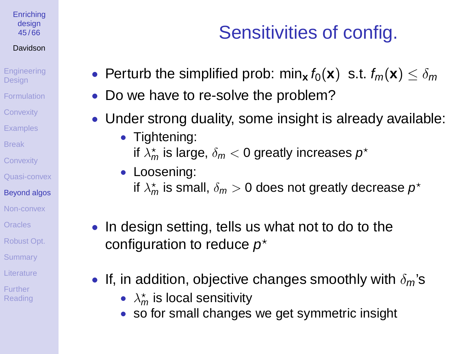#### **[Enriching](#page-0-0)** design 45 / 66

### Davidson

**[Engineering](#page-1-0) Design** [Formulation](#page-3-0) **[Convexity](#page-15-0)** 

**[Examples](#page-18-0)** 

[Break](#page-29-0)

**[Convexity](#page-31-0)** 

[Quasi-convex](#page-38-0)

### [Beyond algos](#page-40-0)

[Non-convex](#page-45-0)

[Oracles](#page-57-0)

[Robust Opt.](#page-58-0)

**[Summary](#page-60-0)** 

[Literature](#page-61-0)

**Further** [Reading](#page-65-0)

## Sensitivities of config.

- Perturb the simplified prob: min<sub>x</sub>  $f_0(\mathbf{x})$  s.t.  $f_m(\mathbf{x}) \leq \delta_m$
- Do we have to re-solve the problem?
- Under strong duality, some insight is already available:
	- Tightening: if  $\lambda^\star_m$  is large,  $\delta_m < 0$  greatly increases  $\rho^\star$
	- Loosening: if  $\lambda_{m}^{\star}$  is small,  $\delta_{m}>0$  does not greatly decrease  $\rho^{\star}$
- In design setting, tells us what not to do to the configuration to reduce  $p^*$
- If, in addition, objective changes smoothly with  $\delta_{m}$ 's
	- $\lambda_m^*$  is local sensitivity
	- so for small changes we get symmetric insight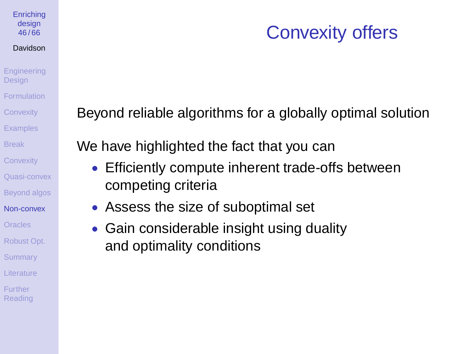## Convexity offers

**[Engineering](#page-1-0) Design [Formulation](#page-3-0) [Convexity](#page-15-0) [Examples](#page-18-0)** [Break](#page-29-0) **[Convexity](#page-31-0)** [Quasi-convex](#page-38-0) [Beyond algos](#page-40-0) [Non-convex](#page-45-0) **[Oracles](#page-57-0)** [Robust Opt.](#page-58-0) **[Summary](#page-60-0)** [Literature](#page-61-0) **Further** [Reading](#page-65-0)

**[Enriching](#page-0-0)** design 46 / 66 Davidson

Beyond reliable algorithms for a globally optimal solution

We have highlighted the fact that you can

- Efficiently compute inherent trade-offs between competing criteria
- Assess the size of suboptimal set
- <span id="page-45-0"></span>• Gain considerable insight using duality and optimality conditions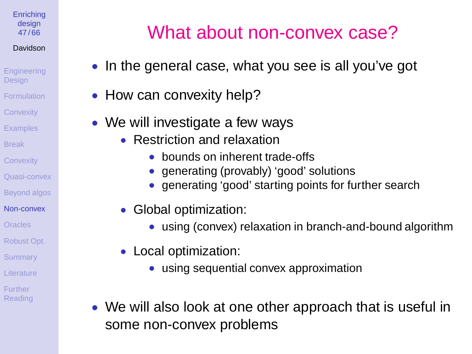**[Enriching](#page-0-0)** design 47 / 66

### Davidson

**[Engineering](#page-1-0) Design [Formulation](#page-3-0) [Convexity](#page-15-0) [Examples](#page-18-0)** [Break](#page-29-0) **[Convexity](#page-31-0)** [Quasi-convex](#page-38-0) [Beyond algos](#page-40-0)

- [Non-convex](#page-45-0)
- **[Oracles](#page-57-0)**
- [Robust Opt.](#page-58-0)
- **[Summary](#page-60-0)**
- [Literature](#page-61-0)
- **Further [Reading](#page-65-0)**

# What about non-convex case?

- In the general case, what you see is all you've got
- How can convexity help?
- We will investigate a few ways
	- Restriction and relaxation
		- bounds on inherent trade-offs
		- generating (provably) 'good' solutions
		- generating 'good' starting points for further search
	- Global optimization:
		- using (convex) relaxation in branch-and-bound algorithm
	- Local optimization:
		- using sequential convex approximation
- We will also look at one other approach that is useful in some non-convex problems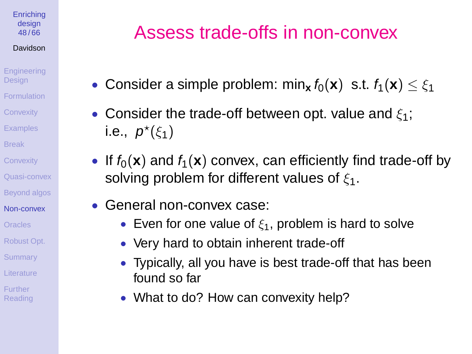#### **[Enriching](#page-0-0)** design 48 / 66

### Davidson

- [Engineering](#page-1-0) **Design [Formulation](#page-3-0) [Convexity](#page-15-0) [Examples](#page-18-0)** [Break](#page-29-0) **[Convexity](#page-31-0)** [Quasi-convex](#page-38-0) [Beyond algos](#page-40-0)
- [Non-convex](#page-45-0) [Oracles](#page-57-0)
- [Robust Opt.](#page-58-0)
- **[Summary](#page-60-0)**
- [Literature](#page-61-0)
- **Further** [Reading](#page-65-0)

# Assess trade-offs in non-convex

- Consider a simple problem: min<sub>x</sub>  $f_0(\mathbf{x})$  s.t.  $f_1(\mathbf{x}) \leq \xi_1$
- Consider the trade-off between opt. value and  $\xi_1$ ; i.e.,  $p^*(\xi_1)$
- If  $f_0(x)$  and  $f_1(x)$  convex, can efficiently find trade-off by solving problem for different values of  $\xi_1$ .
- General non-convex case:
	- Even for one value of  $\xi_1$ , problem is hard to solve
	- Very hard to obtain inherent trade-off
	- Typically, all you have is best trade-off that has been found so far
	- What to do? How can convexity help?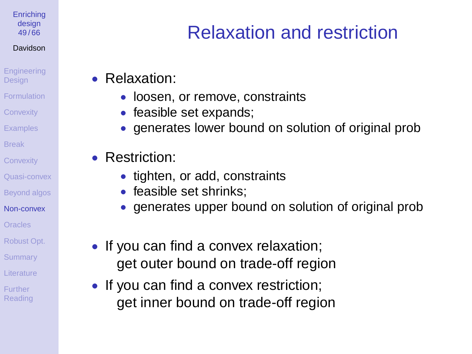**[Enriching](#page-0-0)** design 49 / 66

### Davidson

**[Engineering](#page-1-0) Design** [Formulation](#page-3-0)

**[Convexity](#page-15-0)** 

**[Examples](#page-18-0)** 

[Break](#page-29-0)

**[Convexity](#page-31-0)** 

[Quasi-convex](#page-38-0)

[Beyond algos](#page-40-0)

[Non-convex](#page-45-0)

**[Oracles](#page-57-0)** 

[Robust Opt.](#page-58-0)

**[Summary](#page-60-0)** 

[Literature](#page-61-0)

**Further [Reading](#page-65-0)** 

# Relaxation and restriction

• Relaxation:

• loosen, or remove, constraints

• feasible set expands;

• generates lower bound on solution of original prob

• Restriction:

• tighten, or add, constraints

• feasible set shrinks:

• generates upper bound on solution of original prob

• If you can find a convex relaxation; get outer bound on trade-off region

• If you can find a convex restriction; get inner bound on trade-off region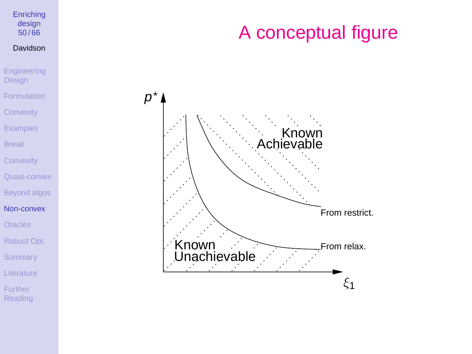## A conceptual figure



**[Enriching](#page-0-0)** design  $50/66$ Davidson

[Engineering](#page-1-0) Design [Formulation](#page-3-0) **[Convexity](#page-15-0)** [Examples](#page-18-0) [Break](#page-29-0) **[Convexity](#page-31-0)** [Quasi-convex](#page-38-0) [Beyond algos](#page-40-0) [Non-convex](#page-45-0) **[Oracles](#page-57-0)** [Robust Opt.](#page-58-0)

**[Summary](#page-60-0)** 

**[Literature](#page-61-0)** 

Further [Reading](#page-65-0)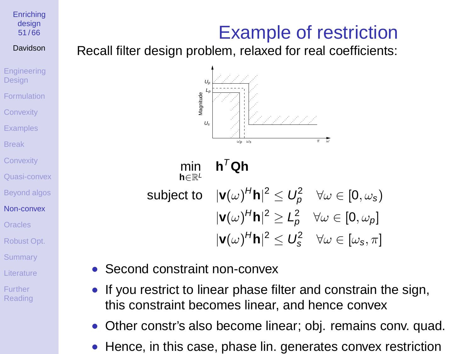## Example of restriction

51 / 66 Davidson

**[Enriching](#page-0-0)** design

**[Engineering](#page-1-0) Design [Formulation](#page-3-0) [Convexity](#page-15-0) [Examples](#page-18-0)** 

[Break](#page-29-0)

**[Convexity](#page-31-0)** 

[Quasi-convex](#page-38-0)

[Beyond algos](#page-40-0)

[Non-convex](#page-45-0) [Oracles](#page-57-0)

[Robust Opt.](#page-58-0)

**[Summary](#page-60-0)** 

[Literature](#page-61-0)

**Further** [Reading](#page-65-0) Recall filter design problem, relaxed for real coefficients:



min **h**∈R<sup>L</sup>  $h^T$ Qh subject to  $|\textbf{v}(\omega)^H\textbf{h}|^2 \leq U_\rho^2 \quad \forall \omega \in [0,\omega_{\textbf{s}})$  $|\mathbf{v}(\omega)^H\mathbf{h}|^2 \geq L_p^2 \quad \forall \omega \in [0,\omega_p]$  $|\mathbf{v}(\omega)^H\mathbf{h}|^2 \leq U_s^2 \quad \forall \omega \in [\omega_s, \pi]$ 

- Second constraint non-convex
- If you restrict to linear phase filter and constrain the sign, this constraint becomes linear, and hence convex
- Other constr's also become linear; obj. remains conv. quad.
- Hence, in this case, phase lin. generates convex restriction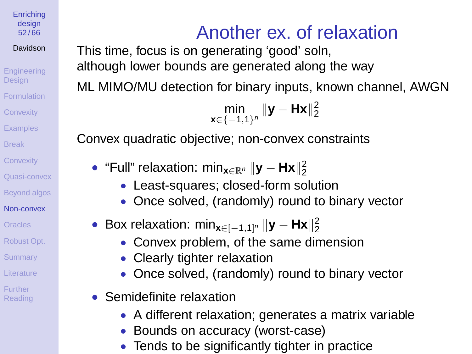**[Enriching](#page-0-0)** design 52 / 66

Davidson

[Engineering](#page-1-0) **Design [Formulation](#page-3-0) [Convexity](#page-15-0) [Examples](#page-18-0)** [Break](#page-29-0) **[Convexity](#page-31-0)** [Quasi-convex](#page-38-0) [Beyond algos](#page-40-0) [Non-convex](#page-45-0) [Oracles](#page-57-0) [Robust Opt.](#page-58-0) **[Summary](#page-60-0)** [Literature](#page-61-0) **Further** [Reading](#page-65-0)

# Another ex. of relaxation

This time, focus is on generating 'good' soln, although lower bounds are generated along the way

ML MIMO/MU detection for binary inputs, known channel, AWGN

```
\min_{\mathbf{x} \in \{-1,1\}^n} \|\mathbf{y} - \mathbf{Hx}\|_2^2
```
Convex quadratic objective; non-convex constraints

- "Full" relaxation: min<sub>x∈ℝ</sub><sub>n</sub> ||**y Hx**||2
	- Least-squares; closed-form solution
	- Once solved, (randomly) round to binary vector
- Box relaxation: min<sub>x∈[-1,1]</sub><sub>n</sub> ||**y Hx**||2
	- Convex problem, of the same dimension
	- Clearly tighter relaxation
	- Once solved, (randomly) round to binary vector
- Semidefinite relaxation
	- A different relaxation; generates a matrix variable
	- Bounds on accuracy (worst-case)
	- Tends to be significantly tighter in practice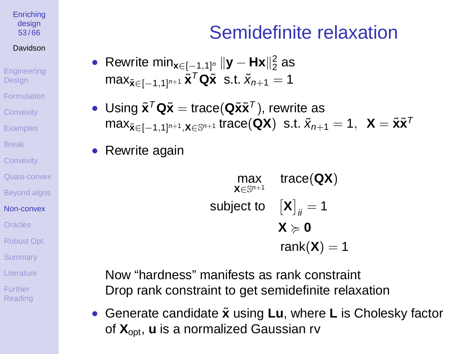#### **[Enriching](#page-0-0)** design 53 / 66

### Davidson

**[Engineering](#page-1-0) Design** [Formulation](#page-3-0) **[Convexity](#page-15-0) [Examples](#page-18-0)** [Break](#page-29-0) **[Convexity](#page-31-0)** [Quasi-convex](#page-38-0)

[Beyond algos](#page-40-0)

[Non-convex](#page-45-0)

[Oracles](#page-57-0)

[Robust Opt.](#page-58-0)

**[Summary](#page-60-0)** 

[Literature](#page-61-0)

**Further** [Reading](#page-65-0)

# Semidefinite relaxation

- Rewrite min<sub>x∈[−1,1]<sup>n</sup>  $||\mathbf{y} \mathbf{Hx}||_2^2$  as</sub> max<sub> $\tilde{\mathbf{x}}$ ∈[−1,1]<sup>n+1</sup>  $\tilde{\mathbf{x}}$ <sup>™</sup> Q $\tilde{\mathbf{x}}$  s.t.  $\tilde{\mathbf{x}}_{n+1} = 1$ </sub>
- Using  $\tilde{\mathbf{x}}^T \mathbf{Q} \tilde{\mathbf{x}} = \text{trace}(\mathbf{Q} \tilde{\mathbf{x}} \tilde{\mathbf{x}}^T)$ , rewrite as  $\max_{\tilde{\mathbf{x}} \in [-1,1]^{n+1}, \mathbf{X} \in \mathbb{S}^{n+1}} \text{trace}(\mathbf{Q} \mathbf{X}) \ \ \text{s.t.} \ \tilde{\mathbf{x}}_{n+1} = 1, \ \ \mathbf{X} = \tilde{\mathbf{x}} \tilde{\mathbf{x}}^T$
- Rewrite again

$$
\begin{array}{ll}\n\text{max} & \text{trace}(\textbf{QX}) \\
\text{x} \in \mathbb{S}^{n+1} & \text{trace}(\textbf{QX}) \\
\text{subject to} & \begin{bmatrix} \textbf{X} \end{bmatrix}_{ii} = 1 \\
\textbf{X} \succcurlyeq \textbf{0} \\
\text{rank}(\textbf{X}) = 1\n\end{array}
$$

Now "hardness" manifests as rank constraint Drop rank constraint to get semidefinite relaxation

• Generate candidate **x**˜ using **Lu**, where **L** is Cholesky factor of **X**opt, **u** is a normalized Gaussian rv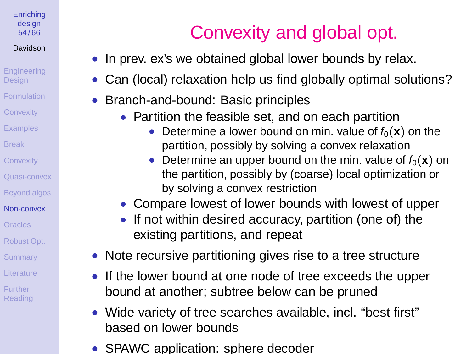#### **[Enriching](#page-0-0)** design 54 / 66

### Davidson

- [Engineering](#page-1-0) **Design [Formulation](#page-3-0) [Convexity](#page-15-0) [Examples](#page-18-0)** [Break](#page-29-0) **[Convexity](#page-31-0)** [Quasi-convex](#page-38-0) [Beyond algos](#page-40-0) [Non-convex](#page-45-0) [Oracles](#page-57-0) [Robust Opt.](#page-58-0) **[Summary](#page-60-0)** [Literature](#page-61-0)
- Further [Reading](#page-65-0)

# Convexity and global opt.

- In prev. ex's we obtained global lower bounds by relax.
- Can (local) relaxation help us find globally optimal solutions?
- Branch-and-bound: Basic principles
	- Partition the feasible set, and on each partition
		- Determine a lower bound on min. value of  $f_0(\mathbf{x})$  on the partition, possibly by solving a convex relaxation
		- Determine an upper bound on the min. value of  $f_0(\mathbf{x})$  on the partition, possibly by (coarse) local optimization or by solving a convex restriction
	- Compare lowest of lower bounds with lowest of upper
	- If not within desired accuracy, partition (one of) the existing partitions, and repeat
- Note recursive partitioning gives rise to a tree structure
- If the lower bound at one node of tree exceeds the upper bound at another; subtree below can be pruned
- Wide variety of tree searches available, incl. "best first" based on lower bounds
- SPAWC application: sphere decoder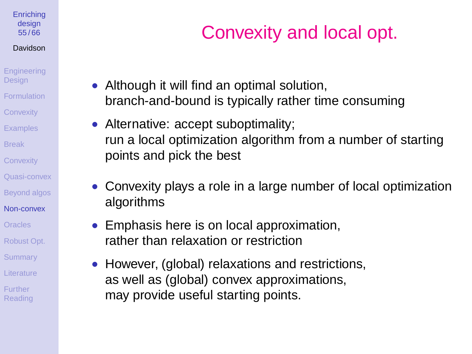#### **[Enriching](#page-0-0)** design 55 / 66

### Davidson

- **[Engineering](#page-1-0)** Design [Formulation](#page-3-0) **[Convexity](#page-15-0) [Examples](#page-18-0)** [Break](#page-29-0) **[Convexity](#page-31-0)** [Quasi-convex](#page-38-0) [Beyond algos](#page-40-0) [Non-convex](#page-45-0) [Oracles](#page-57-0)
- [Robust Opt.](#page-58-0)
- **[Summary](#page-60-0)**
- [Literature](#page-61-0)
- **Further** [Reading](#page-65-0)

# Convexity and local opt.

- Although it will find an optimal solution, branch-and-bound is typically rather time consuming
- Alternative: accept suboptimality; run a local optimization algorithm from a number of starting points and pick the best
- Convexity plays a role in a large number of local optimization algorithms
- Emphasis here is on local approximation, rather than relaxation or restriction
- However, (global) relaxations and restrictions, as well as (global) convex approximations, may provide useful starting points.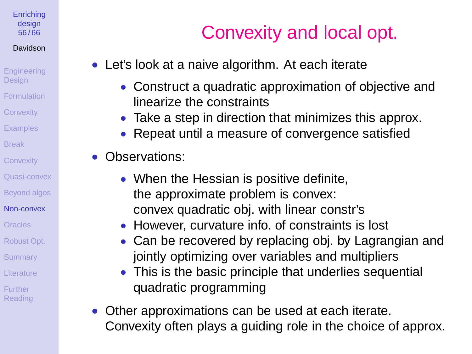#### **[Enriching](#page-0-0)** design 56 / 66

### Davidson

**[Engineering](#page-1-0) Design** [Formulation](#page-3-0) **[Convexity](#page-15-0) [Examples](#page-18-0)** 

[Break](#page-29-0)

**[Convexity](#page-31-0)** 

[Quasi-convex](#page-38-0)

[Beyond algos](#page-40-0)

[Non-convex](#page-45-0)

[Oracles](#page-57-0)

[Robust Opt.](#page-58-0)

**[Summary](#page-60-0)** 

[Literature](#page-61-0)

**Further** [Reading](#page-65-0)

# Convexity and local opt.

- Let's look at a naive algorithm. At each iterate
	- Construct a quadratic approximation of objective and linearize the constraints
	- Take a step in direction that minimizes this approx.
	- Repeat until a measure of convergence satisfied
- Observations:
	- When the Hessian is positive definite, the approximate problem is convex: convex quadratic obj. with linear constr's
	- However, curvature info. of constraints is lost
	- Can be recovered by replacing obj. by Lagrangian and jointly optimizing over variables and multipliers
	- This is the basic principle that underlies sequential quadratic programming
- Other approximations can be used at each iterate. Convexity often plays a guiding role in the choice of approx.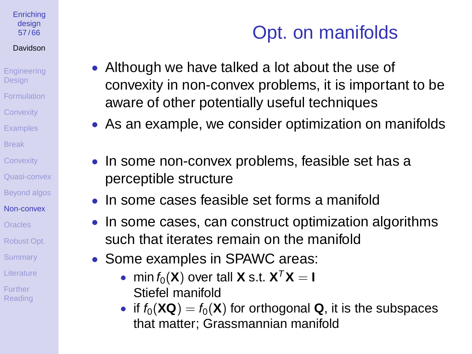#### **[Enriching](#page-0-0)** design 57 / 66

### Davidson

- **[Engineering](#page-1-0) Design** [Formulation](#page-3-0) **[Convexity](#page-15-0)**
- **[Examples](#page-18-0)**
- [Break](#page-29-0)
- **[Convexity](#page-31-0)**
- [Quasi-convex](#page-38-0)
- [Beyond algos](#page-40-0)
- [Non-convex](#page-45-0)
- [Oracles](#page-57-0)
- [Robust Opt.](#page-58-0)
- **[Summary](#page-60-0)**
- [Literature](#page-61-0)
- **Further [Reading](#page-65-0)**

# Opt. on manifolds

- Although we have talked a lot about the use of convexity in non-convex problems, it is important to be aware of other potentially useful techniques
	- As an example, we consider optimization on manifolds
	- In some non-convex problems, feasible set has a perceptible structure
	- In some cases feasible set forms a manifold
	- In some cases, can construct optimization algorithms such that iterates remain on the manifold
	- Some examples in SPAWC areas:
		- min  $f_0(\mathbf{X})$  over tall **X** s.t.  $\mathbf{X}^T \mathbf{X} = \mathbf{I}$ Stiefel manifold
		- if  $f_0(\mathbf{XQ}) = f_0(\mathbf{X})$  for orthogonal **Q**, it is the subspaces that matter; Grassmannian manifold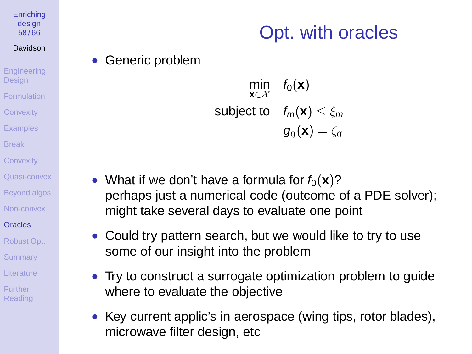#### **[Enriching](#page-0-0)** design 58 / 66

### Davidson

**[Engineering](#page-1-0)** Design [Formulation](#page-3-0) **[Convexity](#page-15-0) [Examples](#page-18-0)** [Break](#page-29-0) **[Convexity](#page-31-0)** [Quasi-convex](#page-38-0) [Beyond algos](#page-40-0) [Non-convex](#page-45-0) **[Oracles](#page-57-0)** [Robust Opt.](#page-58-0)

### **[Summary](#page-60-0)**

- [Literature](#page-61-0)
- <span id="page-57-0"></span>**Further** [Reading](#page-65-0)

# Opt. with oracles

• Generic problem

$$
\min_{\mathbf{x} \in \mathcal{X}} \quad f_0(\mathbf{x})
$$
\n
$$
\text{subject to} \quad f_m(\mathbf{x}) \le \xi_m
$$
\n
$$
g_q(\mathbf{x}) = \zeta_q
$$

- What if we don't have a formula for  $f_0(\mathbf{x})$ ? perhaps just a numerical code (outcome of a PDE solver); might take several days to evaluate one point
- Could try pattern search, but we would like to try to use some of our insight into the problem
- Try to construct a surrogate optimization problem to guide where to evaluate the objective
- Key current applic's in aerospace (wing tips, rotor blades), microwave filter design, etc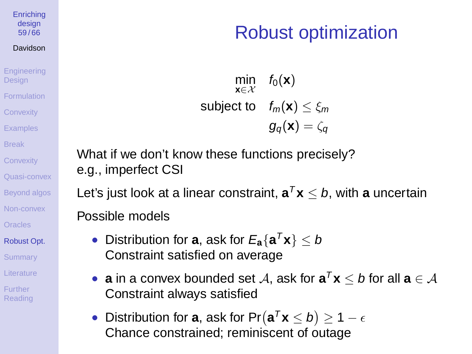#### **[Enriching](#page-0-0)** design 59 / 66

### Davidson

**[Engineering](#page-1-0) Design** [Formulation](#page-3-0) **[Convexity](#page-15-0)** [Examples](#page-18-0) [Break](#page-29-0) **[Convexity](#page-31-0)** [Quasi-convex](#page-38-0) [Beyond algos](#page-40-0) [Non-convex](#page-45-0) **[Oracles](#page-57-0)** [Robust Opt.](#page-58-0) **[Summary](#page-60-0)** 

- [Literature](#page-61-0)
- <span id="page-58-0"></span>**Further** [Reading](#page-65-0)

## Robust optimization

min **x**∈X  $f_0(\mathbf{x})$ subject to  $f_m(\mathbf{x}) < \varepsilon_m$  $q_{\alpha}(\mathbf{x}) = \zeta_{\alpha}$ 

What if we don't know these functions precisely? e.g., imperfect CSI

Let's just look at a linear constraint,  $\mathbf{a}^T\mathbf{x} \leq b$ , with  $\mathbf{a}$  uncertain Possible models

- Distribution for **a**, ask for  $E_{\mathbf{a}}\{\mathbf{a}^T\mathbf{x}\}\leq b$ Constraint satisfied on average
- **a** in a convex bounded set  $A$ , ask for  $\mathbf{a}^T \mathbf{x} \leq b$  for all  $\mathbf{a} \in A$ Constraint always satisfied
- Distribution for **a**, ask for Pr $(\mathbf{a}^T \mathbf{x} \leq b) \geq 1 \epsilon$ Chance constrained; reminiscent of outage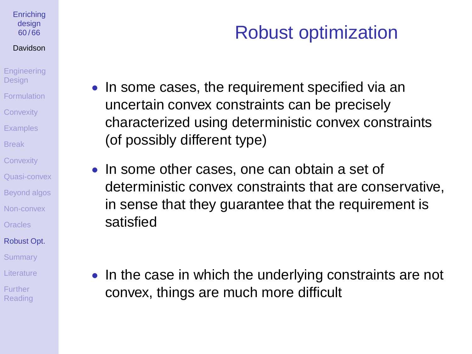#### **[Enriching](#page-0-0)** design 60 / 66

#### Davidson

**[Engineering](#page-1-0) Design** [Formulation](#page-3-0) **[Convexity](#page-15-0) [Examples](#page-18-0)** [Break](#page-29-0) **[Convexity](#page-31-0)** [Quasi-convex](#page-38-0) [Beyond algos](#page-40-0)

[Non-convex](#page-45-0)

[Oracles](#page-57-0)

[Robust Opt.](#page-58-0)

**[Summary](#page-60-0)** 

[Literature](#page-61-0)

**Further [Reading](#page-65-0)** 

# Robust optimization

- In some cases, the requirement specified via an uncertain convex constraints can be precisely characterized using deterministic convex constraints (of possibly different type)
- In some other cases, one can obtain a set of deterministic convex constraints that are conservative, in sense that they guarantee that the requirement is satisfied

• In the case in which the underlying constraints are not convex, things are much more difficult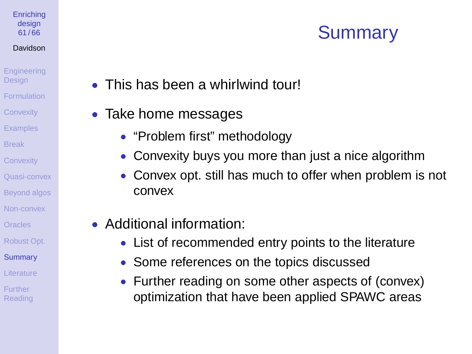# **Summary**

- This has been a whirlwind tour!
- Take home messages

**[Enriching](#page-0-0)** design 61 / 66 Davidson **[Engineering](#page-1-0) Design** [Formulation](#page-3-0) **[Convexity](#page-15-0) [Examples](#page-18-0)** [Break](#page-29-0) **[Convexity](#page-31-0)** [Quasi-convex](#page-38-0) [Beyond algos](#page-40-0) [Non-convex](#page-45-0) [Oracles](#page-57-0) [Robust Opt.](#page-58-0) **[Summary](#page-60-0)** [Literature](#page-61-0) **Further** [Reading](#page-65-0)

- "Problem first" methodology
- Convexity buys you more than just a nice algorithm
- Convex opt. still has much to offer when problem is not convex
- <span id="page-60-0"></span>• Additional information:
	- List of recommended entry points to the literature
	- Some references on the topics discussed
	- Further reading on some other aspects of (convex) optimization that have been applied SPAWC areas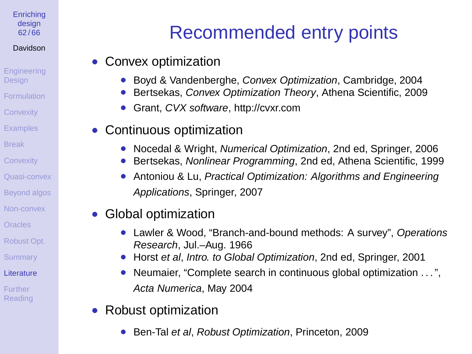#### **[Enriching](#page-0-0)** design 62 / 66

### Davidson

**[Engineering](#page-1-0)** Design [Formulation](#page-3-0)

- **[Convexity](#page-15-0)**
- [Examples](#page-18-0)
- [Break](#page-29-0)
- **[Convexity](#page-31-0)**
- [Quasi-convex](#page-38-0)
- [Beyond algos](#page-40-0)
- [Non-convex](#page-45-0)
- [Oracles](#page-57-0)
- [Robust Opt.](#page-58-0)
- **[Summary](#page-60-0)**
- [Literature](#page-61-0)
- <span id="page-61-0"></span>**Further** [Reading](#page-65-0)

# Recommended entry points

- Convex optimization
	- Boyd & Vandenberghe, Convex Optimization, Cambridge, 2004
	- Bertsekas, Convex Optimization Theory, Athena Scientific, 2009
	- Grant, CVX software, http://cvxr.com
- Continuous optimization
	- Nocedal & Wright, Numerical Optimization, 2nd ed. Springer. 2006
	- Bertsekas, Nonlinear Programming, 2nd ed, Athena Scientific, 1999
	- Antoniou & Lu, Practical Optimization: Algorithms and Engineering Applications, Springer, 2007
- Global optimization
	- Lawler & Wood, "Branch-and-bound methods: A survey", Operations Research, Jul.–Aug. 1966
	- Horst et al, Intro. to Global Optimization, 2nd ed, Springer, 2001
	- Neumaier, "Complete search in continuous global optimization ...", Acta Numerica, May 2004
- Robust optimization
	- Ben-Tal et al, Robust Optimization, Princeton, 2009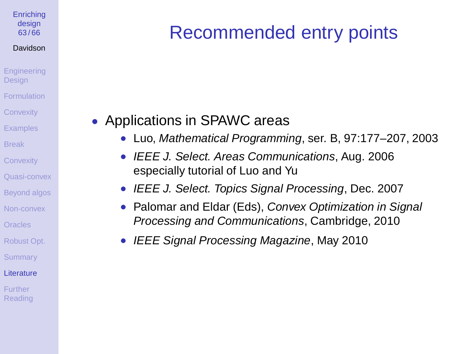#### **[Enriching](#page-0-0)** design 63 / 66

#### Davidson

- **[Engineering](#page-1-0) Design** [Formulation](#page-3-0) **[Convexity](#page-15-0)**
- **[Examples](#page-18-0)**
- [Break](#page-29-0)
- **[Convexity](#page-31-0)**
- [Quasi-convex](#page-38-0)
- [Beyond algos](#page-40-0)
- [Non-convex](#page-45-0)
- [Oracles](#page-57-0)
- [Robust Opt.](#page-58-0)
- **[Summary](#page-60-0)**
- [Literature](#page-61-0)
- **Further** [Reading](#page-65-0)

# Recommended entry points

### • Applications in SPAWC areas

- Luo, Mathematical Programming, ser. B, 97:177–207, 2003
- IEEE J. Select. Areas Communications, Aug. 2006 especially tutorial of Luo and Yu
- IEEE J. Select. Topics Signal Processing, Dec. 2007
- Palomar and Eldar (Eds), Convex Optimization in Signal Processing and Communications, Cambridge, 2010
- IEEE Signal Processing Magazine, May 2010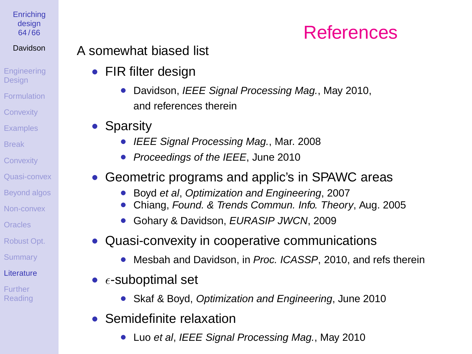#### **[Enriching](#page-0-0)** design 64 / 66

### Davidson

- **[Engineering](#page-1-0) Design** [Formulation](#page-3-0)
- **[Convexity](#page-15-0)**
- [Examples](#page-18-0)
- [Break](#page-29-0)
- **[Convexity](#page-31-0)**
- [Quasi-convex](#page-38-0)
- [Beyond algos](#page-40-0)
- [Non-convex](#page-45-0)
- [Oracles](#page-57-0)
- [Robust Opt.](#page-58-0)
- **[Summary](#page-60-0)**
- [Literature](#page-61-0)
- **Further** [Reading](#page-65-0)

### A somewhat biased list

- FIR filter design
	- Davidson, IEEE Signal Processing Mag., May 2010, and references therein
- Sparsity
	- IEEE Signal Processing Mag., Mar. 2008
	- Proceedings of the IEEE, June 2010
- Geometric programs and applic's in SPAWC areas
	- Boyd et al, Optimization and Engineering, 2007
	- Chiang, Found. & Trends Commun. Info. Theory, Aug. 2005
	- Gohary & Davidson, EURASIP JWCN, 2009
- Quasi-convexity in cooperative communications
	- Mesbah and Davidson, in Proc. ICASSP, 2010, and refs therein
- $\epsilon$ -suboptimal set
	- Skaf & Boyd, Optimization and Engineering, June 2010
- Semidefinite relaxation
	- Luo et al, IEEE Signal Processing Mag., May 2010

## **References**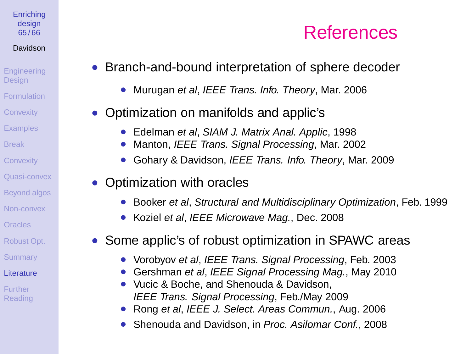#### **[Enriching](#page-0-0)** design 65 / 66

### Davidson

- [Engineering](#page-1-0) **Design** [Formulation](#page-3-0) **[Convexity](#page-15-0)** [Examples](#page-18-0) [Break](#page-29-0) **[Convexity](#page-31-0)** [Quasi-convex](#page-38-0)
- [Beyond algos](#page-40-0)
- [Non-convex](#page-45-0)
- **[Oracles](#page-57-0)**
- [Robust Opt.](#page-58-0)
- **[Summary](#page-60-0)**
- **[Literature](#page-61-0)**
- **Further** [Reading](#page-65-0)
- Branch-and-bound interpretation of sphere decoder
	- Murugan et al, IEEE Trans. Info. Theory, Mar. 2006
- Optimization on manifolds and applic's
	- Edelman et al, SIAM J. Matrix Anal, Applic, 1998
	- Manton, IEEE Trans. Signal Processing, Mar. 2002
	- Gohary & Davidson, IEEE Trans. Info. Theory, Mar. 2009
- Optimization with oracles
	- Booker et al, Structural and Multidisciplinary Optimization, Feb. 1999
	- Koziel et al, IEEE Microwave Mag., Dec. 2008
- Some applic's of robust optimization in SPAWC areas
	- Vorobyov et al, IEEE Trans. Signal Processing, Feb. 2003
	- Gershman et al, IEEE Signal Processing Mag., May 2010
	- Vucic & Boche, and Shenouda & Davidson, IEEE Trans. Signal Processing, Feb./May 2009
	- Rong et al, IEEE J. Select. Areas Commun., Aug. 2006
	- Shenouda and Davidson, in Proc. Asilomar Conf., 2008

# **References**